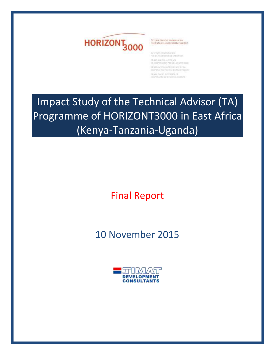



AUSTRIAN DRUANSKRIDE

ОНЗАНОВОЛЬ АЦИОННОСА 197. ОСКУЧЕННОГО И РАНИ В 1. ОСКАННОГО ДЕ SHAMMATION WITHISHIERNE BELA Imainiziola ristriata in<br>Icorrelable se arativou instato

Impact Study of the Technical Advisor (TA) Programme of HORIZONT3000 in East Africa (Kenya-Tanzania-Uganda)

Final Report

10 November 2015

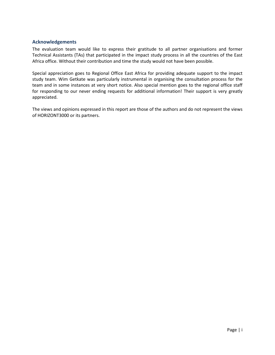## <span id="page-1-0"></span>**Acknowledgements**

The evaluation team would like to express their gratitude to all partner organisations and former Technical Assistants (TAs) that participated in the impact study process in all the countries of the East Africa office. Without their contribution and time the study would not have been possible.

Special appreciation goes to Regional Office East Africa for providing adequate support to the impact study team. Wim Getkate was particularly instrumental in organising the consultation process for the team and in some instances at very short notice. Also special mention goes to the regional office staff for responding to our never ending requests for additional information! Their support is very greatly appreciated.

The views and opinions expressed in this report are those of the authors and do not represent the views of HORIZONT3000 or its partners.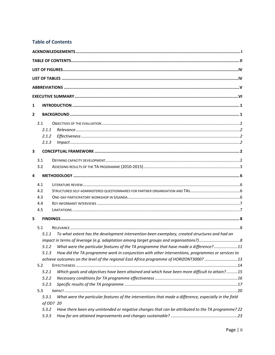# <span id="page-2-0"></span>**Table of Contents**

| 1              |                                                                                                        |
|----------------|--------------------------------------------------------------------------------------------------------|
| $\overline{2}$ |                                                                                                        |
| 2.1            |                                                                                                        |
|                |                                                                                                        |
| 2.1.1          |                                                                                                        |
| 2.1.2          |                                                                                                        |
| 2.1.3          |                                                                                                        |
| 3              |                                                                                                        |
| 3.1            |                                                                                                        |
| 3.2            |                                                                                                        |
| 4              |                                                                                                        |
| 4.1            |                                                                                                        |
| 4.2            |                                                                                                        |
| 4.3            |                                                                                                        |
| 4.4            |                                                                                                        |
| 4.5            |                                                                                                        |
| 5              |                                                                                                        |
| 5.1            |                                                                                                        |
| 5.1.1          | To what extent has the development intervention been exemplary, created structures and had an          |
|                |                                                                                                        |
| 5.1.2          | What were the particular features of the TA programme that have made a difference?11                   |
| 5.1.3          | How did the TA programme work in conjunction with other interventions, programmes or services to       |
|                | achieve outcomes on the level of the regional East Africa programme of HORIZONT3000? 13                |
| 5.2            |                                                                                                        |
| 5.2.1          | Which goals and objectives have been attained and which have been more difficult to attain?15          |
| 5.2.2          |                                                                                                        |
| 5.2.3          |                                                                                                        |
| 5.3            |                                                                                                        |
| 5.3.1          | What were the particular features of the interventions that made a difference, especially in the field |
|                | of OD? 20                                                                                              |
| 5.3.2          | Have there been any unintended or negative changes that can be attributed to the TA programme? 22      |
| 5.3.3          |                                                                                                        |
|                |                                                                                                        |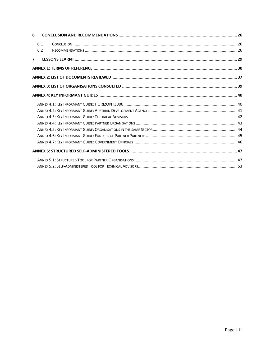| 6              |     |  |
|----------------|-----|--|
|                | 6.1 |  |
|                | 6.2 |  |
| $\overline{ }$ |     |  |
|                |     |  |
|                |     |  |
|                |     |  |
|                |     |  |
|                |     |  |
|                |     |  |
|                |     |  |
|                |     |  |
|                |     |  |
|                |     |  |
|                |     |  |
|                |     |  |
|                |     |  |
|                |     |  |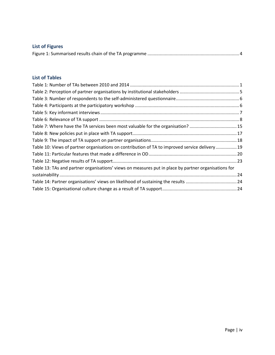<span id="page-4-0"></span>

| <b>List of Figures</b> |  |
|------------------------|--|
|                        |  |

# <span id="page-4-1"></span>**List of Tables**

| Table 7: Where have the TA services been most valuable for the organisation? 15                      |  |
|------------------------------------------------------------------------------------------------------|--|
|                                                                                                      |  |
|                                                                                                      |  |
| Table 10: Views of partner organisations on contribution of TA to improved service delivery 19       |  |
|                                                                                                      |  |
|                                                                                                      |  |
| Table 13: TAs and partner organisations' views on measures put in place by partner organisations for |  |
|                                                                                                      |  |
|                                                                                                      |  |
|                                                                                                      |  |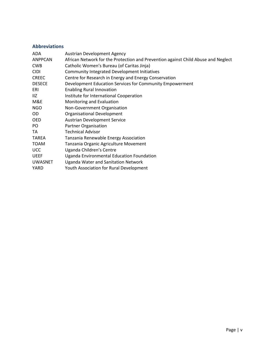# <span id="page-5-0"></span>**Abbreviations**

| ADA            | <b>Austrian Development Agency</b>                                                |
|----------------|-----------------------------------------------------------------------------------|
| <b>ANPPCAN</b> | African Network for the Protection and Prevention against Child Abuse and Neglect |
| <b>CWB</b>     | Catholic Women's Bureau (of Caritas Jinja)                                        |
| <b>CIDI</b>    | <b>Community Integrated Development Initiatives</b>                               |
| <b>CREEC</b>   | Centre for Research in Energy and Energy Conservation                             |
| <b>DESECE</b>  | Development Education Services for Community Empowerment                          |
| ERI            | <b>Enabling Rural Innovation</b>                                                  |
| 11Z            | Institute for International Cooperation                                           |
| M&E            | Monitoring and Evaluation                                                         |
| <b>NGO</b>     | Non-Government Organisation                                                       |
| OD.            | <b>Organisational Development</b>                                                 |
| <b>OED</b>     | <b>Austrian Development Service</b>                                               |
| PO.            | Partner Organisation                                                              |
| TA             | <b>Technical Advisor</b>                                                          |
| <b>TAREA</b>   | Tanzania Renewable Energy Association                                             |
| <b>TOAM</b>    | Tanzania Organic Agriculture Movement                                             |
| <b>UCC</b>     | Uganda Children's Centre                                                          |
| <b>UEEF</b>    | Uganda Environmental Education Foundation                                         |
| <b>UWASNET</b> | Uganda Water and Sanitation Network                                               |
| YARD           | Youth Association for Rural Development                                           |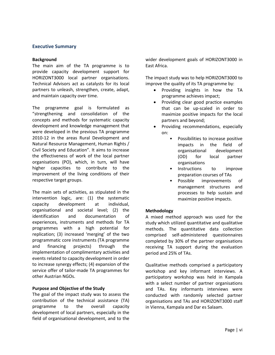## <span id="page-6-0"></span>**Executive Summary**

#### **Background**

The main aim of the TA programme is to provide capacity development support for HORIZONT3000 local partner organisations. Technical Advisors act as catalysts for its local partners to unleash, strengthen, create, adapt, and maintain capacity over time.

The programme goal is formulated as "strengthening and consolidation of the concepts and methods for systematic capacity development and knowledge management that were developed in the previous TA programme 2010-12 in the areas Rural Development and Natural Resource Management, Human Rights / Civil Society and Education". It aims to increase the effectiveness of work of the local partner organisations (PO), which, in turn, will have higher capacities to contribute to the improvement of the living conditions of their respective target groups.

The main sets of activities, as stipulated in the intervention logic, are: (1) the systematic capacity development at individual, organisational and societal level; (2) the identification and documentation of experiences, instruments and methods for TA programmes with a high potential for replication; (3) increased 'merging' of the two programmatic core instruments (TA programme and financing projects) through the implementation of complimentary activities and events related to capacity development in order to increase synergy effects; (4) expansion of the service offer of tailor-made TA programmes for other Austrian NGOs.

## **Purpose and Objective of the Study**

The goal of the impact study was to assess the contribution of the technical assistance (TA) programme to the overall capacity development of local partners, especially in the field of organisational development, and to the

wider development goals of HORIZONT3000 in East Africa.

The impact study was to help HORIZONT3000 to improve the quality of its TA programme by:

- Providing insights in how the TA programme achieves impact;
- Providing clear good practice examples that can be up-scaled in order to maximize positive impacts for the local partners and beyond;
- Providing recommendations, especially on:
	- Possibilities to increase positive impacts in the field of organisational development (OD) for local partner organisations
	- Instructions to improve preparation courses of TAs
	- Possible improvements of management structures and processes to help sustain and maximize positive impacts.

## **Methodology**

A mixed method approach was used for the study which utilized quantitative and qualitative methods. The quantitative data collection comprised self-administered questionnaires completed by 30% of the partner organisations receiving TA support during the evaluation period and 25% of TAs.

Qualitative methods comprised a participatory workshop and key informant interviews. A participatory workshop was held in Kampala with a select number of partner organisations and TAs. Key informants interviews were conducted with randomly selected partner organisations and TAs and HORIZONT3000 staff in Vienna, Kampala and Dar es Salaam.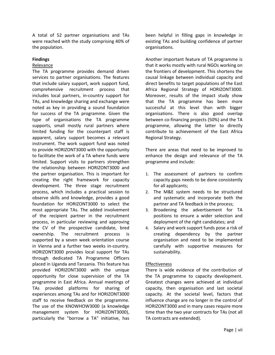A total of 52 partner organisations and TAs were reached with the study comprising 40% of the population.

## **Findings**

#### Relevance

The TA programme provides demand driven services to partner organisations. The features that include salary support, work support fund, comprehensive recruitment process that includes local partners, in-country support for TAs, and knowledge sharing and exchange were noted as key in providing a sound foundation for success of the TA programme. Given the type of organisations the TA programme supports, small mostly rural partners where limited funding for the counterpart staff is apparent, salary support becomes a relevant instrument. The work support fund was noted to provide HORIZONT3000 with the opportunity to facilitate the work of a TA where funds were limited. Support visits to partners strengthen the relationship between HORIZONT3000 and the partner organisation. This is important for creating the right framework for capacity development. The three stage recruitment process, which includes a practical session to observe skills and knowledge, provides a good foundation for HORIZONT3000 to select the most appropriate TAs. The added involvement of the recipient partner in the recruitment process, in particular reviewing and approving the CV of the prospective candidate, bred ownership. The recruitment process is supported by a seven week orientation course in Vienna and a further two weeks in-country. HORIZONT3000 provides local support for TAs through dedicated TA Programme Officers placed in Uganda and Tanzania. This feature has provided HORIZONT3000 with the unique opportunity for close supervision of the TA programme in East Africa. Annual meetings of TAs provided platforms for sharing of experiences among TAs and for HORIZONT3000 staff to receive feedback on the programme. The use of the KNOWHOW3000 (a knowledge management system for HORIZONT3000), particularly the "borrow a TA" initiative, has

been helpful in filling gaps in knowledge in existing TAs and building confidence of partner organisations.

Another important feature of TA programme is that it works mostly with rural NGOs working on the frontiers of development. This shortens the causal linkage between individual capacity and direct benefits to target populations of the East Africa Regional Strategy of HORIZONT3000. Moreover, results of the impact study show that the TA programme has been more successful at this level than with bigger organisations. There is also good overlap between co-financing projects (50%) and the TA programme, allowing the latter to directly contribute to achievement of the East Africa Regional Strategy.

There are areas that need to be improved to enhance the design and relevance of the TA programme and include:

- 1. The assessment of partners to confirm capacity gaps needs to be done consistently for all applicants;
- 2. The M&E system needs to be structured and systematic and incorporate both the partner and TA feedback in the process;
- 3. Broadening the advertisement for TA positions to ensure a wider selection and deployment of the right candidates; and
- 4. Salary and work support funds pose a risk of creating dependency by the partner organisation and need to be implemented carefully with supportive measures for sustainability.

## Effectiveness

There is wide evidence of the contribution of the TA programme to capacity development. Greatest changes were achieved at individual capacity, then organisation and last societal capacity. At the societal level, factors that influence change are no longer in the control of HORIZONT3000 and in many cases require more time than the two year contracts for TAs (not all TA contracts are extended).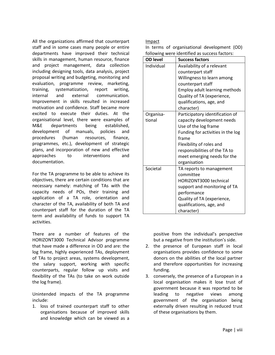All the organizations affirmed that counterpart staff and in some cases many people or entire departments have improved their technical skills in management, human resource, finance and project management, data collection including designing tools, data analysis, project proposal writing and budgeting, monitoring and evaluation, programme review, marketing, training, systematization, report writing, internal and external communication. Improvement in skills resulted in increased motivation and confidence. Staff became more excited to execute their duties. At the organisational level, there were examples of M&E departments being established, development of manuals, policies and procedures (human resources, finance, programmes, etc.), development of strategic plans, and incorporation of new and effective approaches to interventions and documentation.

For the TA programme to be able to achieve its objectives, there are certain conditions that are necessary namely: matching of TAs with the capacity needs of POs, their training and application of a TA role, orientation and character of the TA, availability of both TA and counterpart staff for the duration of the TA term and availability of funds to support TA activities.

There are a number of features of the HORIZONT3000 Technical Advisor programme that have made a difference in OD and are: the log frame, highly experienced TAs, deployment of TAs to project areas, systems development, the salary support, working with specific counterparts, regular follow up visits and flexibility of the TAs (to take on work outside the log frame).

Unintended impacts of the TA programme include:

1. loss of trained counterpart staff to other organisations because of improved skills and knowledge which can be viewed as a

Impact

In terms of organisational development (OD) following were identified as success factors:

| <b>OD level</b> | <b>Success factors</b>            |
|-----------------|-----------------------------------|
| Individual      | Availability of a relevant        |
|                 | counterpart staff                 |
|                 | Willingness to learn among        |
|                 | counterpart staff                 |
|                 | Employ adult learning methods     |
|                 | Quality of TA (experience,        |
|                 | qualifications, age, and          |
|                 | character)                        |
| Organisa-       | Participatory identification of   |
| tional          | capacity development needs        |
|                 | Use of the log frame              |
|                 | Funding for activities in the log |
|                 | frame                             |
|                 | Flexibility of roles and          |
|                 | responsibilities of the TA to     |
|                 | meet emerging needs for the       |
|                 | organisation                      |
| Societal        | TA reports to management          |
|                 | committee                         |
|                 | <b>HORIZONT3000 technical</b>     |
|                 | support and monitoring of TA      |
|                 | performance                       |
|                 | Quality of TA (experience,        |
|                 | qualifications, age, and          |
|                 | character)                        |

positive from the individual's perspective but a negative from the institution's side.

- 2. the presence of European staff in local organisations provides confidence to some donors on the abilities of the local partner and therefore opportunities for increasing funding.
- 3. conversely, the presence of a European in a local organisation makes it lose trust of government because it was reported to be leading to negative views among government of the organisation being externally driven resulting in reduced trust of these organisations by them.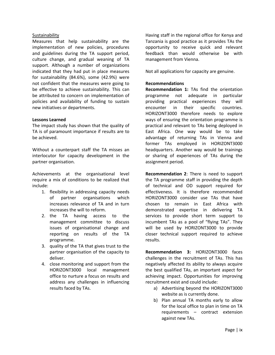#### Sustainability

Measures that help sustainability are the implementation of new policies, procedures and guidelines during the TA support period, culture change, and gradual weaning of TA support. Although a number of organizations indicated that they had put in place measures for sustainability (84.6%), some (42.9%) were not confident that the measures were going to be effective to achieve sustainability. This can be attributed to concern on implementation of policies and availability of funding to sustain new initiatives or departments.

#### **Lessons Learned**

The impact study has shown that the quality of TA is of paramount importance if results are to be achieved.

Without a counterpart staff the TA misses an interlocutor for capacity development in the partner organisation.

Achievements at the organisational level require a mix of conditions to be realized that include:

- 1. flexibility in addressing capacity needs of partner organisations which increases relevance of TA and in turn increases the will to reform.
- 2. the TA having access to the management committee to discuss issues of organisational change and reporting on results of the TA programme.
- 3. quality of the TA that gives trust to the partner organisation of the capacity to deliver.
- 4. close monitoring and support from the HORIZONT3000 local management office to nurture a focus on results and address any challenges in influencing results faced by TAs.

Having staff in the regional office for Kenya and Tanzania is good practice as it provides TAs the opportunity to receive quick and relevant feedback than would otherwise be with management from Vienna.

Not all applications for capacity are genuine.

#### **Recommendations**

**Recommendation 1:** TAs find the orientation programme not adequate in particular providing practical experiences they will encounter in their specific countries. HORIZONT3000 therefore needs to explore ways of ensuring the orientation programme is practical and relevant to TAs being deployed in East Africa. One way would be to take advantage of returning TAs in Vienna and former TAs employed in HORIZONT3000 headquarters. Another way would be trainings or sharing of experiences of TAs during the assignment period.

**Recommendation 2**: There is need to support the TA programme staff in providing the depth of technical and OD support required for effectiveness. It is therefore recommended HORIZONT3000 consider use TAs that have chosen to remain in East Africa with demonstrated expertise in delivering TA services to provide short term support to incumbent TAs as a pool of "flying TAs". They will be used by HORIZONT3000 to provide closer technical support required to achieve results.

**Recommendation 3:** HORIZONT3000 faces challenges in the recruitment of TAs. This has negatively affected its ability to always acquire the best qualified TAs, an important aspect for achieving impact. Opportunities for improving recruitment exist and could include:

- a) Advertising beyond the HORIZONT3000 website as is currently done.
- b) Plan annual TA months early to allow for the local office to plan in time on TA requirements – contract extension against new TAs.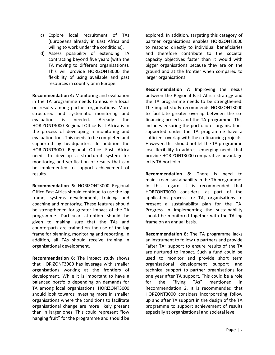- c) Explore local recruitment of TAs (Europeans already in East Africa and willing to work under the conditions).
- d) Assess possibility of extending TA contracting beyond five years (with the TA moving to different organisations). This will provide HORIZONT3000 the flexibility of using available and past resources in country or in Europe.

**Recommendation 4:** Monitoring and evaluation in the TA programme needs to ensure a focus on results among partner organisations. More structured and systematic monitoring and evaluation is needed. Already the HORIZONT3000 Regional Office East Africa is in the process of developing a monitoring and evaluation tool. This needs to be completed and supported by headquarters. In addition the HORIZONT3000 Regional Office East Africa needs to develop a structured system for monitoring and verification of results that can be implemented to support achievement of results.

**Recommendation 5:** HORIZONT3000 Regional Office East Africa should continue to use the log frame, systems development, training and coaching and mentoring. These features should be strengthened for greater impact of the TA programme. Particular attention should be given to making sure that the TAs and counterparts are trained on the use of the log frame for planning, monitoring and reporting. In addition, all TAs should receive training in organisational development.

**Recommendation 6**: The impact study shows that HORIZONT3000 has leverage with smaller organisations working at the frontiers of development. While it is important to have a balanced portfolio depending on demands for TA among local organisations, HORIZONT3000 should look towards investing more in smaller organisations where the conditions to facilitate organisational change are more likely present than in larger ones. This could represent "low hanging fruit" for the programme and should be explored. In addition, targeting this category of partner organisations enables HORIZONT3000 to respond directly to individual beneficiaries and therefore contribute to the societal capacity objectives faster than it would with bigger organisations because they are on the ground and at the frontier when compared to larger organisations.

**Recommendation 7:** Improving the nexus between the Regional East Africa strategy and the TA programme needs to be strengthened. The impact study recommends HORIZONT3000 to facilitate greater overlap between the cofinancing projects and the TA programme. This includes ensuring the portfolio of organisations supported under the TA programme have a sufficient overlap with the co-financing projects. However, this should not let the TA programme lose flexibility to address emerging needs that provide HORIZONT3000 comparative advantage in its TA portfolio.

**Recommendation 8:** There is need to mainstream sustainability in the TA programme. In this regard it is recommended that HORZONT3000 considers, as part of the application process for TA, organisations to present a sustainability plan for the TA. Progress in implementing the sustainability should be monitored together with the TA log frame on an annual basis.

**Recommendation 8:** The TA programme lacks an instrument to follow up partners and provide "after TA" support to ensure results of the TA are nurtured to impact. Such a fund could be used to monitor and provide short term organisational development support and technical support to partner organisations for one year after TA support. This could be a role for the "flying TAs" mentioned in Recommendation 2. It is recommended that HORZONT3000 considers incorporating follow up and after TA support in the design of the TA programme to support achievement of results especially at organisational and societal level.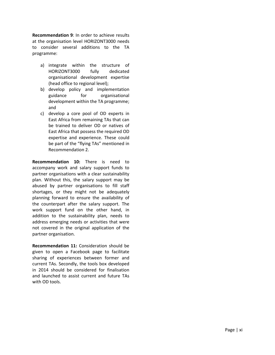**Recommendation 9**: In order to achieve results at the organisation level HORIZONT3000 needs to consider several additions to the TA programme:

- a) integrate within the structure of HORIZONT3000 fully dedicated organisational development expertise (head office to regional level);
- b) develop policy and implementation guidance for organisational development within the TA programme ; and
- c) develop a core pool of OD experts in East Africa from remaining TAs that can be trained to deliver OD or native s of East Africa that possess the required OD expertise and experience. These could be part of the "flying TAs" mentioned in Recommendation 2.

**Recommendation 10:** There is need to accompany work and salary support funds to partner organisations with a clear sustainability plan. Without this, the salary support may be abused by partner organisations to fill staff shortages, or they might not be adequately planning forward to ensure the availability of the counterpart after the salary support. The work support fund on the other hand, in addition to the sustainability plan, needs to address emerging needs or activities that were not covered in the original application of the partner organisation.

**Recommendation 11:** Consideration should be given to open a Facebook page to facilitate sharing of experiences between former and current TAs. Secondly, the tools box developed in 2014 should be considered for finalisation and launched to assist current and future TAs with OD tools.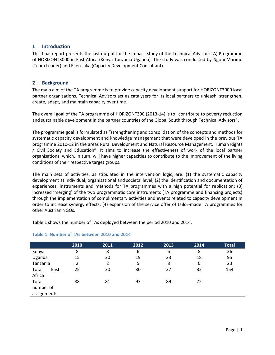## <span id="page-12-0"></span>**1 Introduction**

This final report presents the last output for the Impact Study of the Technical Advisor (TA) Programme of HORIZONT3000 in East Africa (Kenya-Tanzania-Uganda). The study was conducted by Ngoni Marimo (Team Leader) and Ellen Jaka (Capacity Development Consultant).

## <span id="page-12-1"></span>**2 Background**

The main aim of the TA programme is to provide capacity development support for HORIZONT3000 local partner organisations. Technical Advisors act as catalysers for its local partners to unleash, strengthen, create, adapt, and maintain capacity over time.

The overall goal of the TA programme of HORIZONT300 (2013-14) is to "contribute to poverty reduction and sustainable development in the partner countries of the Global South through Technical Advisors".

The programme goal is formulated as "strengthening and consolidation of the concepts and methods for systematic capacity development and knowledge management that were developed in the previous TA programme 2010-12 in the areas Rural Development and Natural Resource Management, Human Rights / Civil Society and Education". It aims to increase the effectiveness of work of the local partner organisations, which, in turn, will have higher capacities to contribute to the improvement of the living conditions of their respective target groups.

The main sets of activities, as stipulated in the intervention logic, are: (1) the systematic capacity development at individual, organisational and societal level; (2) the identification and documentation of experiences, instruments and methods for TA programmes with a high potential for replication; (3) increased 'merging' of the two programmatic core instruments (TA programme and financing projects) through the implementation of complimentary activities and events related to capacity development in order to increase synergy effects; (4) expansion of the service offer of tailor-made TA programmes for other Austrian NGOs.

Table 1 shows the number of TAs deployed between the period 2010 and 2014.

|                                   | 2010 | 2011 | 2012 | 2013 | 2014 | <b>Total</b> |
|-----------------------------------|------|------|------|------|------|--------------|
| Kenya                             | 8    | 8    | 6    | 6    | 8    | 36           |
| Uganda                            | 15   | 20   | 19   | 23   | 18   | 95           |
| Tanzania                          | 2    | 2    | 5    | 8    | 6    | 23           |
| Total<br>East<br>Africa           | 25   | 30   | 30   | 37   | 32   | 154          |
| Total<br>number of<br>assignments | 88   | 81   | 93   | 89   | 72   |              |
|                                   |      |      |      |      |      |              |

## <span id="page-12-2"></span>**Table 1: Number of TAs between 2010 and 2014**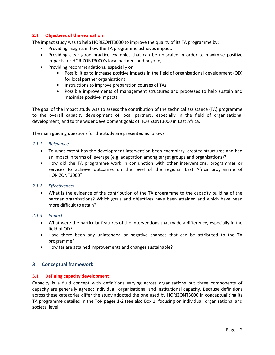## <span id="page-13-0"></span>**2.1 Objectives of the evaluation**

The impact study was to help HORIZONT3000 to improve the quality of its TA programme by:

- Providing insights in how the TA programme achieves impact;
- Providing clear good practice examples that can be up-scaled in order to maximise positive impacts for HORIZONT3000's local partners and beyond;
- **•** Providing recommendations, especially on:
	- Possibilities to increase positive impacts in the field of organisational development (OD) for local partner organisations
	- Instructions to improve preparation courses of TAs
	- Possible improvements of management structures and processes to help sustain and maximise positive impacts.

The goal of the impact study was to assess the contribution of the technical assistance (TA) programme to the overall capacity development of local partners, especially in the field of organisational development, and to the wider development goals of HORIZONT3000 in East Africa.

The main guiding questions for the study are presented as follows:

#### <span id="page-13-1"></span>*2.1.1 Relevance*

- To what extent has the development intervention been exemplary, created structures and had an impact in terms of leverage (e.g. adaptation among target groups and organisations)?
- How did the TA programme work in conjunction with other interventions, programmes or services to achieve outcomes on the level of the regional East Africa programme of HORIZONT3000?

## <span id="page-13-2"></span>*2.1.2 Effectiveness*

 What is the evidence of the contribution of the TA programme to the capacity building of the partner organisations? Which goals and objectives have been attained and which have been more difficult to attain?

#### <span id="page-13-3"></span>*2.1.3 Impact*

- What were the particular features of the interventions that made a difference, especially in the field of OD?
- Have there been any unintended or negative changes that can be attributed to the TA programme?
- <span id="page-13-4"></span>How far are attained improvements and changes sustainable?

## **3 Conceptual framework**

## <span id="page-13-5"></span>**3.1 Defining capacity development**

Capacity is a fluid concept with definitions varying across organisations but three components of capacity are generally agreed: individual, organisational and institutional capacity. Because definitions across these categories differ the study adopted the one used by HORIZONT3000 in conceptualizing its TA programme detailed in the ToR pages 1-2 (see also Box 1) focusing on individual, organisational and societal level.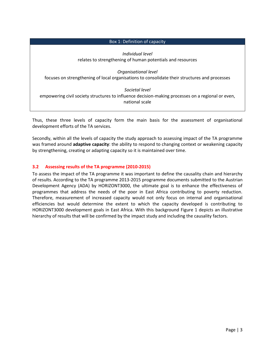## Box 1: Definition of capacity

*Individual level* relates to strengthening of human potentials and resources

*Organisational level* focuses on strengthening of local organisations to consolidate their structures and processes

*Societal level* empowering civil society structures to influence decision-making processes on a regional or even, national scale

Thus, these three levels of capacity form the main basis for the assessment of organisational development efforts of the TA services.

Secondly, within all the levels of capacity the study approach to assessing impact of the TA programme was framed around **adaptive capacity**: the ability to respond to changing context or weakening capacity by strengthening, creating or adapting capacity so it is maintained over time.

## <span id="page-14-0"></span>**3.2 Assessing results of the TA programme (2010-2015)**

To assess the impact of the TA programme it was important to define the causality chain and hierarchy of results. According to the TA programme 2013-2015 programme documents submitted to the Austrian Development Agency (ADA) by HORIZONT3000, the ultimate goal is to enhance the effectiveness of programmes that address the needs of the poor in East Africa contributing to poverty reduction. Therefore, measurement of increased capacity would not only focus on internal and organisational efficiencies but would determine the extent to which the capacity developed is contributing to HORIZONT3000 development goals in East Africa. With this background Figure 1 depicts an illustrative hierarchy of results that will be confirmed by the impact study and including the causality factors.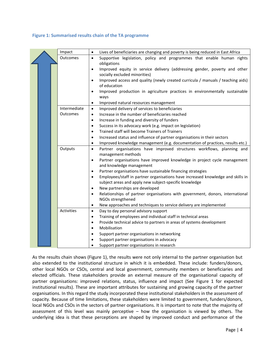#### <span id="page-15-0"></span>**Figure 1: Summarised results chain of the TA programme**

|  | Impact       | Lives of beneficiaries are changing and poverty is being reduced in East Africa<br>$\bullet$       |  |  |  |  |  |
|--|--------------|----------------------------------------------------------------------------------------------------|--|--|--|--|--|
|  | Outcomes     | Supportive legislation, policy and programmes that enable human rights<br>$\bullet$<br>obligations |  |  |  |  |  |
|  |              | Improved equity in service delivery (addressing gender, poverty and other                          |  |  |  |  |  |
|  |              | socially excluded minorities)                                                                      |  |  |  |  |  |
|  |              | Improved access and quality (newly created curricula / manuals / teaching aids)                    |  |  |  |  |  |
|  |              | of education                                                                                       |  |  |  |  |  |
|  |              | Improved production in agriculture practices in environmentally sustainable                        |  |  |  |  |  |
|  |              | ways<br>Improved natural resources management                                                      |  |  |  |  |  |
|  | Intermediate | $\bullet$<br>Improved delivery of services to beneficiaries<br>$\bullet$                           |  |  |  |  |  |
|  | Outcomes     | Increase in the number of beneficiaries reached<br>$\bullet$                                       |  |  |  |  |  |
|  |              | Increase in funding and diversity of funders<br>$\bullet$                                          |  |  |  |  |  |
|  |              | Success in its advocacy work (e.g. impact on legislation)<br>$\bullet$                             |  |  |  |  |  |
|  |              | Trained staff will become Trainers of Trainers<br>$\bullet$                                        |  |  |  |  |  |
|  |              | Increased status and influence of partner organisations in their sectors                           |  |  |  |  |  |
|  |              | Improved knowledge management (e.g. documentation of practices, results etc.)                      |  |  |  |  |  |
|  | Outputs      | Partner organisations have improved structures workflows, planning and<br>management methods       |  |  |  |  |  |
|  |              | Partner organisations have improved knowledge in project cycle management<br>$\bullet$             |  |  |  |  |  |
|  |              | and knowledge management                                                                           |  |  |  |  |  |
|  |              | Partner organisations have sustainable financing strategies<br>$\bullet$                           |  |  |  |  |  |
|  |              | Employees/staff in partner organisations have increased knowledge and skills in<br>$\bullet$       |  |  |  |  |  |
|  |              | subject areas and apply new subject-specific knowledge                                             |  |  |  |  |  |
|  |              | New partnerships are developed<br>$\bullet$<br>$\bullet$                                           |  |  |  |  |  |
|  |              | Relationships of partner organisations with government, donors, international<br>NGOs strengthened |  |  |  |  |  |
|  |              | New approaches and techniques to service delivery are implemented<br>$\bullet$                     |  |  |  |  |  |
|  | Activities   | Day to day personal advisory support<br>$\bullet$                                                  |  |  |  |  |  |
|  |              | Training of employees and individual staff in technical areas<br>$\bullet$                         |  |  |  |  |  |
|  |              | Provide technical advice to partners in areas of systems development<br>$\bullet$                  |  |  |  |  |  |
|  |              | Mobilisation<br>$\bullet$                                                                          |  |  |  |  |  |
|  |              | Support partner organisations in networking<br>$\bullet$                                           |  |  |  |  |  |
|  |              | Support partner organisations in advocacy                                                          |  |  |  |  |  |
|  |              | Support partner organisations in research                                                          |  |  |  |  |  |

As the results chain shows (Figure 1), the results were not only internal to the partner organisation but also extended to the institutional structure in which it is embedded. These include: funders/donors, other local NGOs or CSOs, central and local government, community members or beneficiaries and elected officials. These stakeholders provide an external measure of the organisational capacity of partner organisations: improved relations, status, influence and impact (See Figure 1 for expected institutional results). These are important attributes for sustaining and growing capacity of the partner organisations. In this regard the study incorporated these institutional stakeholders in the assessment of capacity. Because of time limitations, these stakeholders were limited to government, funders/donors, local NGOs and CSOs in the sectors of partner organisations. It is important to note that the majority of assessment of this level was mainly perceptive – how the organisation is viewed by others. The underlying idea is that these perceptions are shaped by improved conduct and performance of the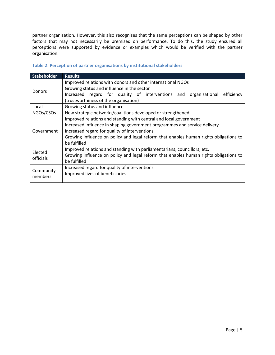partner organisation. However, this also recognises that the same perceptions can be shaped by other factors that may not necessarily be premised on performance. To do this, the study ensured all perceptions were supported by evidence or examples which would be verified with the partner organisation.

| <b>Stakeholder</b>   | <b>Results</b>                                                                                                                                                                                                                                                                                           |  |  |  |
|----------------------|----------------------------------------------------------------------------------------------------------------------------------------------------------------------------------------------------------------------------------------------------------------------------------------------------------|--|--|--|
| Donors               | Improved relations with donors and other international NGOs<br>Growing status and influence in the sector<br>Increased regard for quality of interventions and organisational<br>efficiency<br>(trustworthiness of the organisation)                                                                     |  |  |  |
| Local                | Growing status and influence                                                                                                                                                                                                                                                                             |  |  |  |
| NGOs/CSOs            | New strategic networks/coalitions developed or strengthened                                                                                                                                                                                                                                              |  |  |  |
| Government           | Improved relations and standing with central and local government<br>Increased influence in shaping government programmes and service delivery<br>Increased regard for quality of interventions<br>Growing influence on policy and legal reform that enables human rights obligations to<br>be fulfilled |  |  |  |
| Elected<br>officials | Improved relations and standing with parliamentarians, councillors, etc.<br>Growing influence on policy and legal reform that enables human rights obligations to<br>be fulfilled                                                                                                                        |  |  |  |
| Community<br>members | Increased regard for quality of interventions<br>Improved lives of beneficiaries                                                                                                                                                                                                                         |  |  |  |

## <span id="page-16-0"></span>**Table 2: Perception of partner organisations by institutional stakeholders**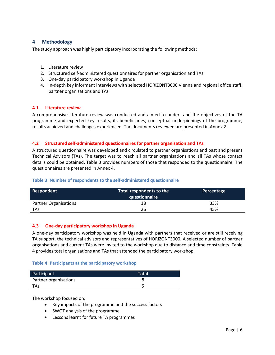# <span id="page-17-0"></span>**4 Methodology**

The study approach was highly participatory incorporating the following methods:

- 1. Literature review
- 2. Structured self-administered questionnaires for partner organisation and TAs
- 3. One-day participatory workshop in Uganda
- 4. In-depth key informant interviews with selected HORIZONT3000 Vienna and regional office staff, partner organisations and TAs

## <span id="page-17-1"></span>**4.1 Literature review**

A comprehensive literature review was conducted and aimed to understand the objectives of the TA programme and expected key results, its beneficiaries, conceptual underpinnings of the programme, results achieved and challenges experienced. The documents reviewed are presented in Annex 2.

## <span id="page-17-2"></span>**4.2 Structured self-administered questionnaires for partner organisation and TAs**

A structured questionnaire was developed and circulated to partner organisations and past and present Technical Advisors (TAs). The target was to reach all partner organisations and all TAs whose contact details could be obtained. [Table 3](#page-17-4) provides numbers of those that responded to the questionnaire. The questionnaires are presented in Annex 4.

## <span id="page-17-4"></span>**Table 3: Number of respondents to the self-administered questionnaire**

| Respondent                   | Total respondents to the<br>questionnaire | Percentage |
|------------------------------|-------------------------------------------|------------|
| <b>Partner Organisations</b> | 18                                        | 33%        |
| <b>TAs</b>                   | 26                                        | 45%        |

## <span id="page-17-3"></span>**4.3 One-day participatory workshop in Uganda**

A one-day participatory workshop was held in Uganda with partners that received or are still receiving TA support, the technical advisors and representatives of HORIZONT3000. A selected number of partner organisations and current TAs were invited to the workshop due to distance and time constraints. Table 4 provides total organisations and TAs that attended the participatory workshop.

## <span id="page-17-5"></span>**Table 4: Participants at the participatory workshop**

| Participant           | Total |
|-----------------------|-------|
| Partner organisations |       |
| TAs                   |       |

The workshop focused on:

- Key impacts of the programme and the success factors
- SWOT analysis of the programme
- Lessons learnt for future TA programmes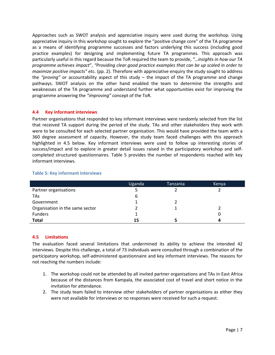Approaches such as SWOT analysis and appreciative inquiry were used during the workshop. Using appreciative inquiry in this workshop sought to explore the "positive change core" of the TA programme as a means of identifying programme successes and factors underlying this success (including good practice examples) for designing and implementing future TA programmes. This approach was particularly useful in this regard because the ToR required the team to provide, *"…insights in how our TA programme achieves impact*", *"Providing clear good practice examples that can be up scaled in order to maximize positive impacts"* etc. (pp. 2). Therefore with appreciative enquiry the study sought to address the *"proving"* or accountability aspect of this study – the impact of the TA programme and change pathways. SWOT analysis on the other hand enabled the team to determine the strengths and weaknesses of the TA programme and understand further what opportunities exist for improving the programme answering the *"improving"* concept of the ToR.

#### <span id="page-18-0"></span>**4.4 Key informant interviews**

Partner organisations that responded to key informant interviews were randomly selected from the list that received TA support during the period of the study. TAs and other stakeholders they work with were to be consulted for each selected partner organisation. This would have provided the team with a 360 degree assessment of capacity. However, the study team faced challenges with this approach highlighted in 4.5 below. Key informant interviews were used to follow up interesting stories of success/impact and to explore in greater detail issues raised in the participatory workshop and selfcompleted structured questionnaires. Table 5 provides the number of respondents reached with key informant interviews.

|                                 | Uganda | Tanzania | Kenya |
|---------------------------------|--------|----------|-------|
| Partner organisations           |        |          |       |
| <b>TAs</b>                      | 6      |          |       |
| Government                      |        |          |       |
| Organisation in the same sector |        |          |       |
| Funders                         |        |          |       |
| <b>Total</b>                    | 15     |          | Д     |

#### <span id="page-18-2"></span>**Table 5: Key informant interviews**

## <span id="page-18-1"></span>**4.5 Limitations**

The evaluation faced several limitations that undermined its ability to achieve the intended 42 interviews. Despite this challenge, a total of 73 individuals were consulted through a combination of the participatory workshop, self-administered questionnaire and key informant interviews. The reasons for not reaching the numbers include:

- 1. The workshop could not be attended by all invited partner organisations and TAs in East Africa because of the distances from Kampala, the associated cost of travel and short notice in the invitation for attendance.
- 2. The study team failed to interview other stakeholders of partner organisations as either they were not available for interviews or no responses were received for such a request.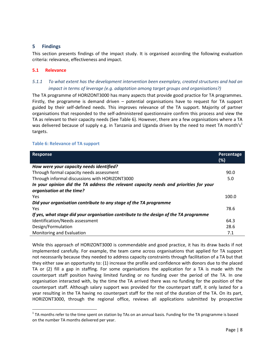## <span id="page-19-0"></span>**5 Findings**

This section presents findings of the impact study. It is organised according the following evaluation criteria: relevance, effectiveness and impact.

## <span id="page-19-1"></span>**5.1 Relevance**

l

# <span id="page-19-2"></span>*5.1.1 To what extent has the development intervention been exemplary, created structures and had an impact in terms of leverage (e.g. adaptation among target groups and organisations?)*

The TA programme of HORIZONT3000 has many aspects that provide good practice for TA programmes. Firstly, the programme is demand driven – potential organisations have to request for TA support guided by their self-defined needs. This improves relevance of the TA support. Majority of partner organisations that responded to the self-administered questionnaire confirm this process and view the TA as relevant to their capacity needs (See [Table 6\)](#page-19-3). However, there are a few organisations where a TA was delivered because of supply e.g. in Tanzania and Uganda driven by the need to meet TA month's<sup>1</sup> targets.

#### <span id="page-19-3"></span>**Table 6: Relevance of TA support**

| <b>Response</b>                                                                        | Percentage |
|----------------------------------------------------------------------------------------|------------|
|                                                                                        | (%)        |
| How were your capacity needs identified?                                               |            |
| Through formal capacity needs assessment                                               | 90.0       |
| Through informal discussions with HORIZONT3000                                         | 5.0        |
| In your opinion did the TA address the relevant capacity needs and priorities for your |            |
| organisation at the time?                                                              |            |
| Yes                                                                                    | 100.0      |
| Did your organisation contribute to any stage of the TA programme                      |            |
| Yes                                                                                    | 78.6       |
| If yes, what stage did your organisation contribute to the design of the TA programme  |            |
| Identification/Needs assessment                                                        | 64.3       |
| Design/Formulation                                                                     | 28.6       |
| Monitoring and Evaluation                                                              | 7.1        |

While this approach of HORIZONT3000 is commendable and good practice, it has its draw backs if not implemented carefully. For example, the team came across organisations that applied for TA support not necessarily because they needed to address capacity constraints through facilitation of a TA but that they either saw an opportunity to: (1) increase the profile and confidence with donors due to the placed TA or (2) fill a gap in staffing. For some organisations the application for a TA is made with the counterpart staff position having limited funding or no funding over the period of the TA. In one organisation interacted with, by the time the TA arrived there was no funding for the position of the counterpart staff. Although salary support was provided for the counterpart staff, it only lasted for a year resulting in the TA having no counterpart staff for the rest of the duration of the TA. On its part, HORIZONT3000, through the regional office, reviews all applications submitted by prospective

<sup>&</sup>lt;sup>1</sup> TA months refer to the time spent on station by TAs on an annual basis. Funding for the TA programme is based on the number TA months delivered per year.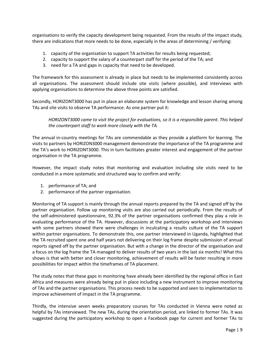organisations to verify the capacity development being requested. From the results of the impact study, there are indications that more needs to be done, especially in the areas of determining / verifying:

- 1. capacity of the organisation to support TA activities for results being requested;
- 2. capacity to support the salary of a counterpart staff for the period of the TA; and
- 3. need for a TA and gaps in capacity that need to be developed.

The framework for this assessment is already in place but needs to be implemented consistently across all organisations. The assessment should include site visits (where possible), and interviews with applying organisations to determine the above three points are satisfied.

Secondly, HORIZONT3000 has put in place an elaborate system for knowledge and lesson sharing among TAs and site visits to observe TA performance. As one partner put it:

*HORIZONT3000 came to visit the project for evaluations, so it is a responsible parent. This helped the counterpart staff to work more closely with the TA.* 

The annual in-country meetings for TAs are commendable as they provide a platform for learning. The visits to partners by HORIZON3000 management demonstrate the importance of the TA programme and the TA's work to HORIZONT3000. This in turn facilitates greater interest and engagement of the partner organisation in the TA programme.

However, the impact study notes that monitoring and evaluation including site visits need to be conducted in a more systematic and structured way to confirm and verify:

- 1. performance of TA; and
- 2. performance of the partner organisation.

Monitoring of TA support is mainly through the annual reports prepared by the TA and signed off by the partner organisation. Follow up monitoring visits are also carried out periodically. From the results of the self-administered questionnaire, 92.3% of the partner organisations confirmed they play a role in evaluating performance of the TA. However, discussions at the participatory workshop and interviews with some partners showed there were challenges in inculcating a results culture of the TA support within partner organisations. To demonstrate this, one partner interviewed in Uganda, highlighted that the TA recruited spent one and half years not delivering on their log frame despite submission of annual reports signed off by the partner organisation. But with a change in the director of the organisation and a focus on the log frame the TA managed to deliver results of two years in the last six months! What this shows is that with better and closer monitoring, achievement of results will be faster resulting in more possibilities for impact within the timeframes of TA placement.

The study notes that these gaps in monitoring have already been identified by the regional office in East Africa and measures were already being put in place including a new instrument to improve monitoring of TAs and the partner organisations. This process needs to be supported and seen to implementation to improve achievement of impact in the TA programme.

Thirdly, the intensive seven weeks preparatory courses for TAs conducted in Vienna were noted as helpful by TAs interviewed. The new TAs, during the orientation period, are linked to former TAs. It was suggested during the participatory workshop to open a Facebook page for current and former TAs to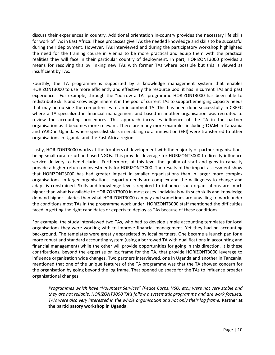discuss their experiences in country. Additional orientation in-country provides the necessary life skills for work of TAs in East Africa. These processes give TAs the needed knowledge and skills to be successful during their deployment. However, TAs interviewed and during the participatory workshop highlighted the need for the training course in Vienna to be more practical and equip them with the practical realities they will face in their particular country of deployment. In part, HORIZONT3000 provides a means for resolving this by linking new TAs with former TAs where possible but this is viewed as insufficient by TAs.

Fourthly, the TA programme is supported by a knowledge management system that enables HORIZONT3000 to use more efficiently and effectively the resource pool it has in current TAs and past experiences. For example, through the "borrow a TA" programme HORIZONT3000 has been able to redistribute skills and knowledge inherent in the pool of current TAs to support emerging capacity needs that may be outside the competencies of an incumbent TA. This has been done successfully in CREEC where a TA specialized in financial management and based in another organisation was recruited to review the accounting procedures. This approach increases influence of the TA in the partner organisation as it becomes more relevant. There are many more examples including TOAM in Tanzania and YARD in Uganda where specialist skills in enabling rural innovation (ERI) were transferred to other organisations in Uganda and the East Africa region.

Lastly, HORIZONT3000 works at the frontiers of development with the majority of partner organisations being small rural or urban based NGOs. This provides leverage for HORIZONT3000 to directly influence service delivery to beneficiaries. Furthermore, at this level the quality of staff and gaps in capacity provide a higher return on investments for HORIZONT3000. The results of the impact assessment show that HORIZONT3000 has had greater impact in smaller organisations than in larger more complex organisations. In larger organisations, capacity needs are complex and the willingness to change and adapt is constrained. Skills and knowledge levels required to influence such organisations are much higher than what is available to HORIZONT3000 in most cases. Individuals with such skills and knowledge demand higher salaries than what HORIZONT3000 can pay and sometimes are unwilling to work under the conditions most TAs in the programme work under. HORIZONT3000 staff mentioned the difficulties faced in getting the right candidates or experts to deploy as TAs because of these conditions.

For example, the study interviewed two TAs, who had to develop simple accounting templates for local organisations they were working with to improve financial management. Yet they had no accounting background. The templates were greatly appreciated by local partners. One became a launch pad for a more robust and standard accounting system (using a borrowed TA with qualifications in accounting and financial management) while the other will provide opportunities for going in this direction. It is these contributions, beyond the expertise or log frame for the TA, that provide HORIZONT3000 leverage to influence organisation wide changes. Two partners interviewed, one in Uganda and another in Tanzania, mentioned that one of the unique features of the TA programme was that the TA showed concern for the organisation by going beyond the log frame. That opened up space for the TAs to influence broader organisational changes.

*Programmes which have "Volunteer Services" (Peace Corps, VSO, etc.) were not very stable and they are not reliable. HORIZONT3000 TA's follow a systematic programme and are work focused. TA's were also very interested in the whole organisation and not only their log frame.* Partner at **the participatory workshop in Uganda**.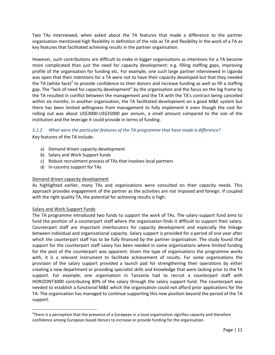Two TAs interviewed, when asked about the TA features that made a difference to the partner organisation mentioned high flexibility in definition of the role as TA and flexibility in the work of a TA as key features that facilitated achieving results in the partner organisation.

However, such contributions are difficult to make in bigger organisations as intentions for a TA become more complicated than just the need for capacity development: e.g. filling staffing gaps, improving profile of the organisation for funding etc. For example, one such large partner interviewed in Uganda was open that their intentions for a TA were not to have their capacity developed but that they needed the TA (white face)<sup>2</sup> to provide confidence to their donors and increase funding as well as fill a staffing gap. The "lack of need for capacity development" by the organisation and the focus on the log frame by the TA resulted in conflict between the management and the TA with the TA's contract being cancelled within six months. In another organisation, the TA facilitated development on a good M&E system but there has been limited willingness from management to fully implement it even though the cost for rolling out was about US\$3000-US\$35000 per annum, a small amount compared to the size of the institution and the leverage it could provide in terms of funding.

<span id="page-22-0"></span>*5.1.2 What were the particular features of the TA programme that have made a difference?* Key features of the TA include:

- a) Demand driven capacity development
- b) Salary and Work Support funds
- c) Robust recruitment process of TAs that involves local partners
- d) In-country support for TAs

#### Demand driven capacity development

As highlighted earlier, many TAs and organisations were consulted on their capacity needs. This approach provides engagement of the partner as the activities are not imposed and foreign. If coupled with the right quality TA, the potential for achieving results is high.

## Salary and Work Support Funds

l

The TA programme introduced two funds to support the work of TAs. The salary support fund aims to fund the position of a counterpart staff where the organisation finds it difficult to support their salary. Counterpart staff are important interlocutors for capacity development and especially the linkage between individual and organisational capacity. Salary support is provided for a period of one year after which the counterpart staff has to be fully financed by the partner organisation. The study found that support for the counterpart staff salary has been needed in some organisations where limited funding for the post of the counterpart was apparent. Given the type of organisations the programme works with, it is a relevant instrument to facilitate achievement of results. For some organisations the provision of the salary support provided a launch pad for strengthening their operations by either creating a new department or providing specialist skills and knowledge that were lacking prior to the TA support. For example, one organisation in Tanzania had to recruit a counterpart staff with HORIZONT3000 contributing 80% of the salary through the salary support fund. The counterpart was needed to establish a functional M&E which the organisation could not afford prior applications for the TA. The organisation has managed to continue supporting this new position beyond the period of the TA support.

 $2$ There is a perception that the presence of a European in a local organisation signifies capacity and therefore confidence among European based donors to increase or provide funding for the organisation.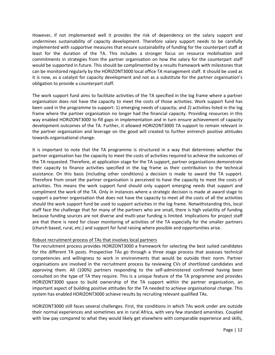However, if not implemented well it provides the risk of dependency on the salary support and undermines sustainability of capacity development. Therefore salary support needs to be carefully implemented with supportive measures that ensure sustainability of funding for the counterpart staff at least for the duration of the TA. This includes a stronger focus on resource mobilisation and commitments in strategies from the partner organisation on how the salary for the counterpart staff would be supported in future. This should be complimented by a results framework with milestones that can be monitored regularly by the HORIZONT3000 local office TA management staff. It should be used as it is now, as a catalyst for capacity development and not as a substitute for the partner organisation's obligation to provide a counterpart staff.

The work support fund aims to facilitate activities of the TA specified in the log frame where a partner organisation does not have the capacity to meet the costs of those activities. Work support fund has been used in the programme to support: 1) emerging needs of capacity; and 2) activities listed in the log frame where the partner organisation no longer had the financial capacity. Providing resources in this way enabled HORIZONT3000 to fill gaps in implementation and in turn ensure achievement of capacity development outcomes of the TA. Further, it allowed HORIZONT3000 TA support to remain relevant in the partner organisation and leverage on the good will created to further entrench positive attitudes towards organisational change.

It is important to note that the TA programme is structured in a way that determines whether the partner organisation has the capacity to meet the costs of activities required to achieve the outcomes of the TA requested. Therefore, at application stage for the TA support, partner organisations demonstrate their capacity to finance activities specified in the log frame as their contribution to the technical assistance. On this basis (including other conditions) a decision is made to award the TA support. Therefore from onset the partner organisation is perceived to have the capacity to meet the costs of activities. This means the work support fund should only support emerging needs that support and compliment the work of the TA. Only in instances where a strategic decision is made at award stage to support a partner organisation that does not have the capacity to meet all the costs of all the activities should the work support fund be used to support activities in the log frame. Notwithstanding this, local staff face the challenge that for many of the partners who are small, there is high volatility of funding because funding sources are not diverse and multi-year funding is limited. Implications for project staff are that there is need for closer monitoring of activities of the TA especially for the smaller partners (church based, rural, etc.) and support for fund raising where possible and opportunities arise.

## Robust recruitment process of TAs that involves local partners

The recruitment process provides HORIZONT3000 a framework for selecting the best suited candidates for the different TA posts. Prospective TAs go through a three stage process that assesses technical competencies and willingness to work in environments that would be outside their norm. Partner organisations are involved in the recruitment process by reviewing CVs of shortlisted candidates and approving them. All (100%) partners responding to the self-administered confirmed having been consulted on the type of TA they require. This is a unique feature of the TA programme and provides HORIZONT3000 space to build ownership of the TA support within the partner organisation, an important aspect of building positive attitudes for the TA needed to achieve organisational change. This system has enabled HORIZONT3000 achieve results by recruiting relevant qualified TAs.

HORIZONT3000 still faces several challenges. First, the conditions in which TAs work under are outside their normal experiences and sometimes are in rural Africa, with very few standard amenities. Coupled with low pay compared to what they would likely get elsewhere with comparable experience and skills,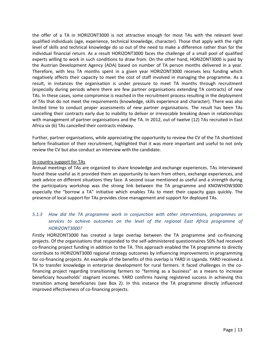the offer of a TA in HORIZONT3000 is not attractive enough for most TAs with the relevant level qualified individuals (age, experience, technical knowledge, character). Those that apply with the right level of skills and technical knowledge do so out of the need to make a difference rather than for the individual financial return. As a result HORIZONT3000 faces the challenge of a small pool of qualified experts willing to work in such conditions to draw from. On the other hand, HORIZONT3000 is paid by the Austrian Development Agency (ADA) based on number of TA person months delivered in a year. Therefore, with less TA months spent in a given year HORIZONT3000 receives less funding which negatively affects their capacity to meet the cost of staff involved in managing the programme. As a result, in instances the organisation is under pressure to meet TA months through recruitment (especially during periods where there are few partner organisations extending TA contracts) of new TAs. In these cases, some compromise is reached in the recruitment process resulting in the deployment of TAs that do not meet the requirements (knowledge, skills experience and character). There was also limited time to conduct proper assessments of new partner organisations. The result has been TAs cancelling their contracts early due to inability to deliver or irrevocable breaking down in relationships with management of partner organisations and the TA. In 2012, out of twelve (12) TAs recruited in East Africa six (6) TAs cancelled their contracts midway.

Further, partner organisations, while appreciating the opportunity to review the CV of the TA shortlisted before finalisation of their recruitment, highlighted that it was more important and useful to not only review the CV but also conduct an interview with the candidate.

#### In-country support for TAs

Annual meetings of TAs are organized to share knowledge and exchange experiences. TAs interviewed found these useful as it provided them an opportunity to learn from others, exchange experiences, and seek advice on different situations they face. A second issue mentioned as useful and a strength during the participatory workshop was the strong link between the TA programme and KNOWHOW3000 especially the "borrow a TA" initiative which enables TAs to meet their capacity gaps quickly. The presence of local support for TAs provides close management and support for deployed TAs.

# <span id="page-24-0"></span>*5.1.3 How did the TA programme work in conjunction with other interventions, programmes or services to achieve outcomes on the level of the regional East Africa programme of HORIZONT3000?*

Firstly HORIZONT3000 has created a large overlap between the TA programme and co-financing projects. Of the organisations that responded to the self-administered questionnaires 50% had received co-financing project funding in addition to the TA. This approach enabled the TA programme to directly contribute to HORIZONT3000 regional strategy outcomes by influencing improvements in programming for co-financing projects. An example of the benefits of this overlap is YARD in Uganda. YARD received a TA to transfer knowledge in enterprise development for rural farmers. It faced challenges in the cofinancing project regarding transitioning farmers to "farming as a business" as a means to increase beneficiary households' stagnant incomes. YARD confirms having registered success in achieving this transition among beneficiaries (see Box 2). In this instance the TA programme directly influenced improved effectiveness of co-financing projects.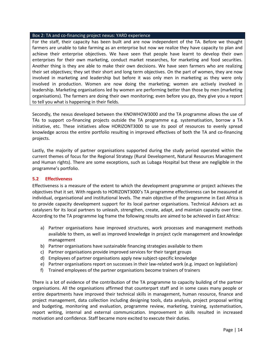#### Box 2: TA and co-financing project nexus: YARD experience

For the staff, their capacity has been built and are now independent of the TA. Before we thought farmers are unable to take farming as an enterprise but now we realize they have capacity to plan and achieve their enterprise objectives. We have seen that people have learnt to develop their own enterprises for their own marketing, conduct market researches, for marketing and food securities. Another thing is they are able to make their own decisions. We have seen farmers who are realizing their set objectives; they set their short and long term objectives. On the part of women, they are now involved in marketing and leadership but before it was only men in marketing as they were only involved in production. Women are now doing the marketing; women are actively involved in leadership. Marketing organisations led by women are performing better than those by men (marketing organisations). The farmers are doing their own monitoring; even before you go, they give you a report to tell you what is happening in their fields.

Secondly, the nexus developed between the KNOWHOW3000 and the TA programme allows the use of TAs to support co-financing projects outside the TA programme e.g. systematisation, borrow a TA initiative, etc. These initiatives allow HORIZONT3000 to use its pool of resources to evenly spread knowledge across the entire portfolio resulting in improved effectives of both the TA and co-financing projects.

Lastly, the majority of partner organisations supported during the study period operated within the current themes of focus for the Regional Strategy (Rural Development, Natural Resources Management and Human rights). There are some exceptions, such as Lubaga Hospital but these are negligible in the programme's portfolio.

#### <span id="page-25-0"></span>**5.2 Effectiveness**

Effectiveness is a measure of the extent to which the development programme or project achieves the objectives that it set. With regards to HORIZONT3000's TA programme effectiveness can be measured at individual, organisational and institutional levels. The main objective of the programme in East Africa is to provide capacity development support for its local partner organisations. Technical Advisors act as catalysers for its local partners to unleash, strengthen, create, adapt, and maintain capacity over time. According to the TA programme log frame the following results are aimed to be achieved in East Africa:

- a) Partner organisations have improved structures, work processes and management methods available to them, as well as improved knowledge in project cycle management and knowledge management
- b) Partner organisations have sustainable financing strategies available to them
- c) Partner organisations provide improved services for their target groups
- d) Employees of partner organisations apply new subject-specific knowledge
- e) Partner organisations report on successes in their law-related work (e.g. impact on legislation)
- f) Trained employees of the partner organisations become trainers of trainers

There is a lot of evidence of the contribution of the TA programme to capacity building of the partner organisations. All the organisations affirmed that counterpart staff and in some cases many people or entire departments have improved their technical skills in management, human resource, finance and project management, data collection including designing tools, data analysis, project proposal writing and budgeting, monitoring and evaluation, programme review, marketing, training, systematisation, report writing, internal and external communication. Improvement in skills resulted in increased motivation and confidence. Staff became more excited to execute their duties.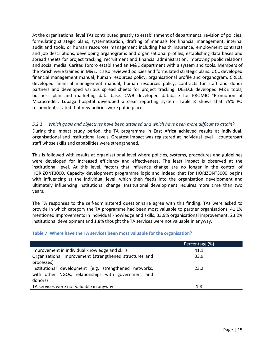At the organisational level TAs contributed greatly to establishment of departments, revision of policies, formulating strategic plans, systematisation, drafting of manuals for financial management, internal audit and tools, or human resources management including health insurance, employment contracts and job descriptions, developing organograms and organisational profiles, establishing data bases and spread sheets for project tracking, recruitment and financial administration, improving public relations and social media. Caritas Tororo established an M&E department with a system and tools. Members of the Parish were trained in M&E. It also reviewed policies and formulated strategic plans. UCC developed financial management manual, human resources policy, organisational profile and organogram. CREEC developed financial management manual, human resources policy, contracts for staff and donor partners and developed various spread sheets for project tracking. DESECE developed M&E tools, business plan and marketing data base. CWB developed database for PROMIC "Promotion of Microcredit". Lubaga hospital developed a clear reporting system. Table 8 shows that 75% PO respondents stated that new policies were put in place.

## <span id="page-26-0"></span>*5.2.1 Which goals and objectives have been attained and which have been more difficult to attain?*

During the impact study period, the TA programme in East Africa achieved results at individual, organisational and institutional levels. Greatest impact was registered at individual level – counterpart staff whose skills and capabilities were strengthened.

This is followed with results at organisational level where policies, systems, procedures and guidelines were developed for increased efficiency and effectiveness. The least impact is observed at the institutional level. At this level, factors that influence change are no longer in the control of HORIZONT3000. Capacity development programme logic and indeed that for HORIZONT3000 begins with influencing at the individual level, which then feeds into the organisation development and ultimately influencing institutional change. Institutional development requires more time than two years.

The TA responses to the self-administered questionnaire agree with this finding. TAs were asked to provide in which category the TA programme had been most valuable to partner organisations. 41.1% mentioned improvements in individual knowledge and skills, 33.9% organisational improvement, 23.2% institutional development and 1.8% thought the TA services were not valuable in anyway.

|                                                         | Percentage (%) |
|---------------------------------------------------------|----------------|
| Improvement in individual knowledge and skills          | 41.1           |
| Organisational improvement (strengthened structures and | 33.9           |
| processes)                                              |                |
| Institutional development (e.g. strengthened networks,  | 23.2           |
| with other NGOs, relationships with government and      |                |
| donors)                                                 |                |
| TA services were not valuable in anyway                 | 1.8            |

## <span id="page-26-1"></span>**Table 7: Where have the TA services been most valuable for the organisation?**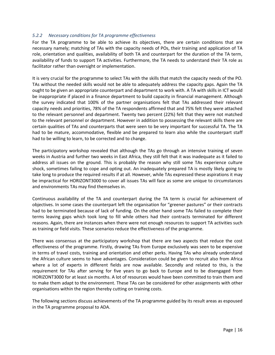## <span id="page-27-0"></span>*5.2.2 Necessary conditions for TA programme effectiveness*

For the TA programme to be able to achieve its objectives, there are certain conditions that are necessary namely; matching of TAs with the capacity needs of POs, their training and application of TA role, orientation and qualities, availability of both TA and counterpart for the duration of the TA term, availability of funds to support TA activities. Furthermore, the TA needs to understand their TA role as facilitator rather than oversight or implementation.

It is very crucial for the programme to select TAs with the skills that match the capacity needs of the PO. TAs without the needed skills would not be able to adequately address the capacity gaps. Again the TA ought to be given an appropriate counterpart and department to work with. A TA with skills in ICT would be inappropriate if placed in a finance department to build capacity in financial management. Although the survey indicated that 100% of the partner organisations felt that TAs addressed their relevant capacity needs and priorities, 78% of the TA respondents affirmed that and 75% felt they were attached to the relevant personnel and department. Twenty two percent (22%) felt that they were not matched to the relevant personnel or department. However in addition to possessing the relevant skills there are certain qualities of TAs and counterparts that were seen to be very important for successful TA. The TA had to be mature, accommodative, flexible and be prepared to learn also while the counterpart staff had to be willing to learn, to be corrected and to change.

The participatory workshop revealed that although the TAs go through an intensive training of seven weeks in Austria and further two weeks in East Africa, they still felt that it was inadequate as it failed to address all issues on the ground. This is probably the reason why still some TAs experience culture shock, sometimes failing to cope and opting out. An inadequately prepared TA is mostly likely going to take long to produce the required results if at all. However, while TAs expressed these aspirations it may be impractical for HORIZONT3000 to cover all issues TAs will face as some are unique to circumstances and environments TAs may find themselves in.

Continuous availability of the TA and counterpart during the TA term is crucial for achievement of objectives. In some cases the counterpart left the organisation for "greener pastures" or their contracts had to be terminated because of lack of funding. On the other hand some TAs failed to complete their terms leaving gaps which took long to fill while others had their contracts terminated for different reasons. Again, there are instances when there were not enough resources to support TA activities such as training or field visits. These scenarios reduce the effectiveness of the programme.

There was consensus at the participatory workshop that there are two aspects that reduce the cost effectiveness of the programme. Firstly, drawing TAs from Europe exclusively was seen to be expensive in terms of travel costs, training and orientation and other perks. Having TAs who already understand the African culture seems to have advantages. Consideration could be given to recruit also from Africa where a lot of experts in different fields are now available. Secondly and related to this, is the requirement for TAs after serving for five years to go back to Europe and to be disengaged from HORIZONT3000 for at least six months. A lot of resources would have been committed to train them and to make them adapt to the environment. These TAs can be considered for other assignments with other organisations within the region thereby cutting on training costs.

The following sections discuss achievements of the TA programme guided by its result areas as espoused in the TA programme proposal to ADA.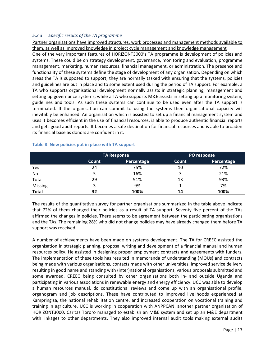## <span id="page-28-0"></span>*5.2.3 Specific results of the TA programme*

Partner organisations have improved structures, work processes and management methods available to them, as well as improved knowledge in project cycle management and knowledge management

One of the very important features of HORIZONT3000's TA programme is development of policies and systems. These could be on strategy development, governance, monitoring and evaluation, programme management, marketing, human resources, financial management, or administration. The presence and functionality of these systems define the stage of development of any organisation. Depending on which areas the TA is supposed to support, they are normally tasked with ensuring that the systems, policies and guidelines are put in place and to some extent used during the period of TA support. For example, a TA who supports organisational development normally assists in strategic planning, management and setting up governance systems, while a TA who supports M&E assists in setting up a monitoring system, guidelines and tools. As such these systems can continue to be used even after the TA support is terminated. If the organisation can commit to using the systems then organisational capacity will inevitably be enhanced. An organisation which is assisted to set up a financial management system and uses it becomes efficient in the use of financial resources, is able to produce authentic financial reports and gets good audit reports. It becomes a safe destination for financial resources and is able to broaden its financial base as donors are confident in it.

|                | <b>TA Response</b> |            |       | PO response       |
|----------------|--------------------|------------|-------|-------------------|
|                | Count              | Percentage | Count | <b>Percentage</b> |
| Yes            | 24                 | 75%        | 10    | 72%               |
| No             |                    | 16%        | 3     | 21%               |
| Total          | 29                 | 91%        | 13    | 93%               |
| <b>Missing</b> | 3                  | 9%         |       | 7%                |
| <b>Total</b>   | 32                 | 100%       | 14    | 100%              |

#### <span id="page-28-1"></span>**Table 8: New policies put in place with TA support**

The results of the quantitative survey for partner organisations summarized in the table above indicate that 72% of them changed their policies as a result of TA support. Seventy five percent of the TAs affirmed the changes in policies. There seems to be agreement between the participating organisations and the TAs. The remaining 28% who did not change policies may have already changed them before TA support was received.

A number of achievements have been made on systems development. The TA for CREEC assisted the organisation in strategic planning, proposal writing and development of a financial manual and human resources policy. He assisted in designing proper employment contracts and agreements with funders. The implementation of these tools has resulted in memoranda of understanding (MOUs) and contracts being made with various organisations, contacts made with other universities, improved service delivery resulting in good name and standing with (inter)national organisations, various proposals submitted and some awarded, CREEC being consulted by other organisations both in- and outside Uganda and participating in various associations in renewable energy and energy efficiency. UCC was able to develop a human resources manual, do constitutional reviews and come up with an organisational profile, organogram and job descriptions. These have contributed to improved livelihoods experienced at Kampringisa, the national rehabilitation centre, and increased cooperation on vocational training and training in agriculture. UCC is working in cooperation with ANPPCAN, another partner organisation of HORIZONT3000. Caritas Tororo managed to establish an M&E system and set up an M&E department with linkages to other departments. They also improved internal audit tools making external audits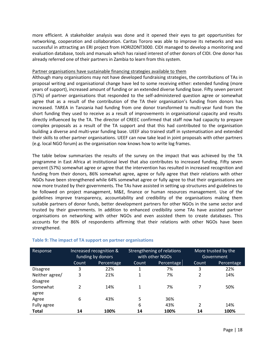more efficient. A stakeholder analysis was done and it opened their eyes to get opportunities for networking, cooperation and collaboration. Caritas Tororo was able to improve its networks and was successful in attracting an ERI project from HORIZONT3000. CIDI managed to develop a monitoring and evaluation database, tools and manuals which has raised interest of other donors of CIDI. One donor has already referred one of their partners in Zambia to learn from this system.

#### Partner organisations have sustainable financing strategies available to them

Although many organisations may not have developed fundraising strategies, the contributions of TAs in proposal writing and organisational change have led to some receiving either: extended funding (more years of support), increased amount of funding or an extended diverse funding base. Fifty seven percent (57%) of partner organisations that responded to the self-administered question agree or somewhat agree that as a result of the contribution of the TA their organisation's funding from donors has increased. TAREA in Tanzania had funding from one donor transformed to multi-year fund from the short funding they used to receive as a result of improvements in organisational capacity and results directly influenced by the TA. The director of CREEC confirmed that staff now had capacity to prepare complex proposals as a result of the TA support and that this had contributed to the organisation building a diverse and multi-year funding base. UEEF also trained staff in systematisation and extended their skills to other partner organisations. UEEF can now take lead in joint proposals with other partners (e.g. local NGO forum) as the organisation now knows how to write log frames.

The table below summarizes the results of the survey on the impact that was achieved by the TA programme in East Africa at institutional level that also contributes to increased funding. Fifty seven percent (57%) somewhat agree or agree that the intervention has resulted in increased recognition and funding from their donors, 86% somewhat agree, agree or fully agree that their relations with other NGOs have been strengthened while 64% somewhat agree or fully agree to that their organisations are now more trusted by their governments. The TAs have assisted in setting up structures and guidelines to be followed on project management, M&E, finance or human resources management. Use of the guidelines improve transparency, accountability and credibility of the organisations making them suitable partners of donor funds, better development partners for other NGOs in the same sector and trusted by their governments. In addition to enhanced credibility some TAs have assisted partner organisations on networking with other NGOs and even assisted them to create databases. This accounts for the 86% of respondents affirming that their relations with other NGOs have been strengthened.

| Response        | Increased recognition &<br>funding by donors |            | Strengthening of relations<br>with other NGOs |            |       | More trusted by the<br>Government |
|-----------------|----------------------------------------------|------------|-----------------------------------------------|------------|-------|-----------------------------------|
|                 | Count                                        | Percentage | Count                                         | Percentage | Count | Percentage                        |
| <b>Disagree</b> | 3                                            | 22%        |                                               | 7%         | 3     | 22%                               |
| Neither agree/  | 3                                            | 21%        | 1                                             | 7%         | 2     | 14%                               |
| disagree        |                                              |            |                                               |            |       |                                   |
| Somewhat        | 2                                            | 14%        |                                               | 7%         |       | 50%                               |
| agree           |                                              |            |                                               |            |       |                                   |
| Agree           | 6                                            | 43%        | 5                                             | 36%        |       |                                   |
| Fully agree     |                                              |            | 6                                             | 43%        | 2     | 14%                               |
| <b>Total</b>    | 14                                           | 100%       | 14                                            | 100%       | 14    | 100%                              |

## <span id="page-29-0"></span>**Table 9: The impact of TA support on partner organisations**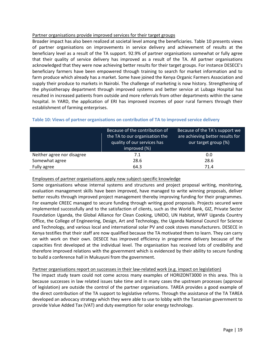#### Partner organisations provide improved services for their target groups

Broader impact has also been realized at societal level among the beneficiaries. Table 10 presents views of partner organisations on improvements in service delivery and achievement of results at the beneficiary level as a result of the TA support. 92.9% of partner organisations somewhat or fully agree that their quality of service delivery has improved as a result of the TA. All partner organisations acknowledged that they were now achieving better results for their target groups. For instance DESECE's beneficiary farmers have been empowered through training to search for market information and to farm produce which already has a market. Some have joined the Kenya Organic Farmers Association and supply their produce to markets in Nairobi. The challenge of marketing is now history. Strengthening of the physiotherapy department through improved systems and better service at Lubaga Hospital has resulted in increased patients from outside and more referrals from other departments within the same hospital. In YARD, the application of ERI has improved incomes of poor rural farmers through their establishment of farming enterprises.

|                            | Because of the contribution of | Because of the TA's support we   |
|----------------------------|--------------------------------|----------------------------------|
|                            | the TA to our organisation the | are achieving better results for |
|                            | quality of our services has    | our target group (%)             |
|                            | improved (%)                   |                                  |
| Neither agree nor disagree | 7.1                            | 0.0                              |
| Somewhat agree             | 28.6                           | 28.6                             |
| Fully agree                | 64.3                           | 71.4                             |

## <span id="page-30-0"></span>**Table 10: Views of partner organisations on contribution of TA to improved service delivery**

## Employees of partner organisations apply new subject-specific knowledge

Some organisations whose internal systems and structures and project proposal writing, monitoring, evaluation management skills have been improved, have managed to write winning proposals, deliver better results through improved project management thereby improving funding for their programmes. For example CREEC managed to secure funding through writing good proposals. Projects secured were implemented successfully and to the satisfaction of clients, such as the World Bank, GIZ, Private Sector Foundation Uganda, the Global Alliance for Clean Cooking, UNIDO, UN Habitat, WWF Uganda Country Office, the College of Engineering, Design, Art and Technology, the Uganda National Council for Science and Technology, and various local and international solar PV and cook stoves manufacturers. DESECE in Kenya testifies that their staff are now qualified because the TA motivated them to learn. They can carry on with work on their own. DESECE has improved efficiency in programme delivery because of the capacities first developed at the individual level. The organisation has received lots of credibility and therefore improved relations with the government which is evidenced by their ability to secure funding to build a conference hall in Mukuyuni from the government.

## Partner organisations report on successes in their law-related work (e.g. impact on legislation)

The impact study team could not come across many examples of HORIZONT3000 in this area. This is because successes in law related issues take time and in many cases the upstream processes (approval of legislation) are outside the control of the partner organisations. TAREA provides a good example of the direct contribution of the TA support to legislative reforms. Through the assistance of the TA TAREA developed an advocacy strategy which they were able to use to lobby with the Tanzanian government to provide Value Added Tax (VAT) and duty exemption for solar energy technology.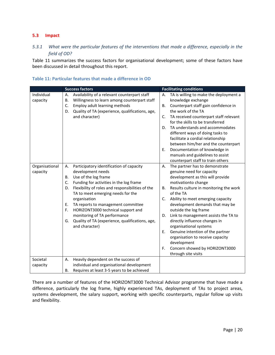## <span id="page-31-0"></span>**5.3 Impact**

# <span id="page-31-1"></span>*5.3.1 What were the particular features of the interventions that made a difference, especially in the field of OD?*

Table 11 summarizes the success factors for organisational development; some of these factors have been discussed in detail throughout this report.

|                            | <b>Success factors</b>                                                                                                                                                                                                                                                                                                                                                                                                                                                      | <b>Facilitating conditions</b>                                                                                                                                                                                                                                                                                                                                                                                                                                                                                                                                                                             |
|----------------------------|-----------------------------------------------------------------------------------------------------------------------------------------------------------------------------------------------------------------------------------------------------------------------------------------------------------------------------------------------------------------------------------------------------------------------------------------------------------------------------|------------------------------------------------------------------------------------------------------------------------------------------------------------------------------------------------------------------------------------------------------------------------------------------------------------------------------------------------------------------------------------------------------------------------------------------------------------------------------------------------------------------------------------------------------------------------------------------------------------|
| Individual<br>capacity     | Availability of a relevant counterpart staff<br>Α.<br>Willingness to learn among counterpart staff<br>В.<br>Employ adult learning methods<br>C.<br>Quality of TA (experience, qualifications, age,<br>D.<br>and character)                                                                                                                                                                                                                                                  | TA is willing to make the deployment a<br>Α.<br>knowledge exchange<br>Counterpart staff gain confidence in<br>В.<br>the work of the TA<br>TA received counterpart staff relevant<br>C.<br>for the skills to be transferred<br>TA understands and accommodates<br>D.<br>different ways of doing tasks to<br>facilitate a cordial relationship<br>between him/her and the counterpart<br>Documentation of knowledge in<br>Ε.<br>manuals and guidelines to assist                                                                                                                                             |
| Organisational<br>capacity | Participatory identification of capacity<br>Α.<br>development needs<br>Use of the log frame<br><b>B.</b><br>Funding for activities in the log frame<br>C.<br>Flexibility of roles and responsibilities of the<br>D.<br>TA to meet emerging needs for the<br>organisation<br>TA reports to management committee<br>Ε.<br>HORIZONT3000 technical support and<br>F.<br>monitoring of TA performance<br>Quality of TA (experience, qualifications, age,<br>G.<br>and character) | counterpart staff to train others<br>The partner has to demonstrate<br>Α.<br>genuine need for capacity<br>development as this will provide<br>motivationto change<br>Results culture in monitoring the work<br>В.<br>of the TA<br>Ability to meet emerging capacity<br>C.<br>development demands that may be<br>outside the log frame<br>Link to management assists the TA to<br>D.<br>directly influence changes in<br>organisational systems<br>Genuine intention of the partner<br>Е.<br>organisation to receive capacity<br>development<br>Concern showed by HORIZONT3000<br>F.<br>through site visits |
| Societal                   | Heavily dependent on the success of<br>А.                                                                                                                                                                                                                                                                                                                                                                                                                                   |                                                                                                                                                                                                                                                                                                                                                                                                                                                                                                                                                                                                            |
| capacity                   | individual and organisational development                                                                                                                                                                                                                                                                                                                                                                                                                                   |                                                                                                                                                                                                                                                                                                                                                                                                                                                                                                                                                                                                            |
|                            | Requires at least 3-5 years to be achieved<br>В.                                                                                                                                                                                                                                                                                                                                                                                                                            |                                                                                                                                                                                                                                                                                                                                                                                                                                                                                                                                                                                                            |

## <span id="page-31-2"></span>**Table 11: Particular features that made a difference in OD**

There are a number of features of the HORIZONT3000 Technical Advisor programme that have made a difference, particularly the log frame, highly experienced TAs, deployment of TAs to project areas, systems development, the salary support, working with specific counterparts, regular follow up visits and flexibility.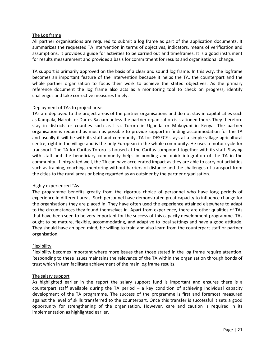#### The Log frame

All partner organisations are required to submit a log frame as part of the application documents. It summarizes the requested TA intervention in terms of objectives, indicators, means of verification and assumptions. It provides a guide for activities to be carried out and timeframes. It is a good instrument for results measurement and provides a basis for commitment for results and organisational change.

TA support is primarily approved on the basis of a clear and sound log frame. In this way, the logframe becomes an important feature of the intervention because it helps the TA, the counterpart and the whole partner organisation to focus their work to achieve the stated objectives. As the primary reference document the log frame also acts as a monitoring tool to check on progress, identify challenges and take corrective measures timely.

#### Deployment of TAs to project areas

TAs are deployed to the project areas of the partner organisations and do not stay in capital cities such as Kampala, Nairobi or Dar es Salaam unless the partner organisation is stationed there. They therefore stay in districts or counties such as Lira, Tororo in Uganda or Mukuyuni in Kenya. The partner organisation is required as much as possible to provide support in finding accommodation for the TA and usually it will be with its staff and community. TA for DESECE stays at a simple village agricultural centre, right in the village and is the only European in the whole community. He uses a motor cycle for transport. The TA for Caritas Tororo is housed at the Caritas compound together with its staff. Staying with staff and the beneficiary community helps in bonding and quick integration of the TA in the community. If integrated well, the TA can have accelerated impact as they are able to carry out activities such as training, coaching, mentoring without barriers of distance and the challenges of transport from the cities to the rural areas or being regarded as an outsider by the partner organisation.

## Highly experienced TAs

The programme benefits greatly from the rigorous choice of personnel who have long periods of experience in different areas. Such personnel have demonstrated great capacity to influence change for the organisations they are placed in. They have often used the experience attained elsewhere to adapt to the circumstances they found themselves in. Apart from experience, there are other qualities of TAs that have been seen to be very important for the success of this capacity development programme. TAs ought to be mature, flexible, accommodating, and adaptive to local settings and have a good attitude. They should have an open mind, be willing to train and also learn from the counterpart staff or partner organisation.

## Flexibility

Flexibility becomes important where more issues than those stated in the log frame require attention. Responding to these issues maintains the relevance of the TA within the organisation through bonds of trust which in turn facilitate achievement of the main log frame results.

#### The salary support

As highlighted earlier in the report the salary support fund is important and ensures there is a counterpart staff available during the TA period – a key condition of achieving individual capacity development of the TA programme. The success of the programme is first and foremost measured against the level of skills transferred to the counterpart. Once this transfer is successful it sets a good opportunity for strengthening of the organisation. However, care and caution is required in its implementation as highlighted earlier.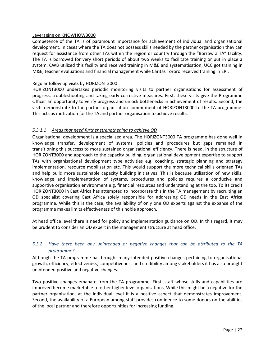#### Leveraging on KNOWHOW3000

Competence of the TA is of paramount importance for achievement of individual and organisational development. In cases where the TA does not possess skills needed by the partner organisation they can request for assistance from other TAs within the region or country through the "Borrow a TA" facility. The TA is borrowed for very short periods of about two weeks to facilitate training or put in place a system. CWB utilized this facility and received training in M&E and systematisation, UCC got training in M&E, teacher evaluations and financial management while Caritas Tororo received training in ERI.

## Regular follow up visits by HORIZONT3000

HORIZONT3000 undertakes periodic monitoring visits to partner organisations for assessment of progress, troubleshooting and taking early corrective measures. First, these visits give the Programme Officer an opportunity to verify progress and unlock bottlenecks in achievement of results. Second, the visits demonstrate to the partner organisation commitment of HORIZONT3000 to the TA programme. This acts as motivation for the TA and partner organisation to achieve results.

## *5.3.1.1 Areas that need further strengthening to achieve OD*

Organisational development is a specialised area. The HORIZONT3000 TA programme has done well in knowledge transfer, development of systems, policies and procedures but gaps remained in transitioning this success to more sustained organisational efficiency. There is need, in the structure of HORIZONT3000 and approach to the capacity building, organisational development expertise to support TAs with organisational development type activities e.g. coaching, strategic planning and strategy implementation, resource mobilisation etc. This would support the more technical skills oriented TAs and help build more sustainable capacity building initiatives. This is because utilisation of new skills, knowledge and implementation of systems, procedures and policies requires a conducive and supportive organisation environment e.g. financial resources and understanding at the top. To its credit HORIZONT3000 in East Africa has attempted to incorporate this in the TA management by recruiting an OD specialist covering East Africa solely responsible for addressing OD needs in the East Africa programme. While this is the case, the availability of only one OD experts against the expanse of the programme makes limits effectiveness of this noble approach.

At head office level there is need for policy and implementation guidance on OD. In this regard, it may be prudent to consider an OD expert in the management structure at head office.

# <span id="page-33-0"></span>*5.3.2 Have there been any unintended or negative changes that can be attributed to the TA programme?*

Although the TA programme has brought many intended positive changes pertaining to organisational growth, efficiency, effectiveness, competitiveness and credibility among stakeholders it has also brought unintended positive and negative changes.

Two positive changes emanate from the TA programme. First, staff whose skills and capabilities are improved become marketable to other higher level organisations. While this might be a negative for the partner organisation, at the individual level it is a positive aspect that demonstrates improvement. Second, the availability of a European among staff provides confidence to some donors on the abilities of the local partner and therefore opportunities for increasing funding.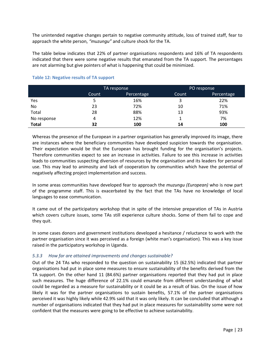The unintended negative changes pertain to negative community attitude, loss of trained staff, fear to approach the white person, *"muzungu"* and culture shock for the TA.

The table below indicates that 22% of partner organisations respondents and 16% of TA respondents indicated that there were some negative results that emanated from the TA support. The percentages are not alarming but give pointers of what is happening that could be minimized.

|              | TA response |            |       | PO response |
|--------------|-------------|------------|-------|-------------|
|              | Count       | Percentage | Count | Percentage  |
| Yes          |             | 16%        | 3     | 22%         |
| No           | 23          | 72%        | 10    | 71%         |
| Total        | 28          | 88%        | 13    | 93%         |
| No response  | 4           | 12%        |       | 7%          |
| <b>Total</b> | 32          | 100        | 14    | 100         |

## <span id="page-34-1"></span>**Table 12: Negative results of TA support**

Whereas the presence of the European in a partner organisation has generally improved its image, there are instances where the beneficiary communities have developed suspicion towards the organisation. Their expectation would be that the European has brought funding for the organisation's projects. Therefore communities expect to see an increase in activities. Failure to see this increase in activities leads to communities suspecting diversion of resources by the organisation and its leaders for personal use. This may lead to animosity and lack of cooperation by communities which have the potential of negatively affecting project implementation and success.

In some areas communities have developed fear to approach the *muzungu (European)* who is now part of the programme staff. This is exacerbated by the fact that the TAs have no knowledge of local languages to ease communication.

It came out of the participatory workshop that in spite of the intensive preparation of TAs in Austria which covers culture issues, some TAs still experience culture shocks. Some of them fail to cope and they quit.

In some cases donors and government institutions developed a hesitance / reluctance to work with the partner organisation since it was perceived as a foreign (white man's organisation). This was a key issue raised in the participatory workshop in Uganda.

## <span id="page-34-0"></span>*5.3.3 How far are attained improvements and changes sustainable?*

Out of the 24 TAs who responded to the question on sustainability 15 (62.5%) indicated that partner organisations had put in place some measures to ensure sustainability of the benefits derived from the TA support. On the other hand 11 (84.6%) partner organisations reported that they had put in place such measures. The huge difference of 22.1% could emanate from different understanding of what could be regarded as a measure for sustainability or it could be as a result of bias. On the issue of how likely it was for the partner organisations to sustain benefits, 57.1% of the partner organisations perceived it was highly likely while 42.9% said that it was only likely. It can be concluded that although a number of organisations indicated that they had put in place measures for sustainability some were not confident that the measures were going to be effective to achieve sustainability.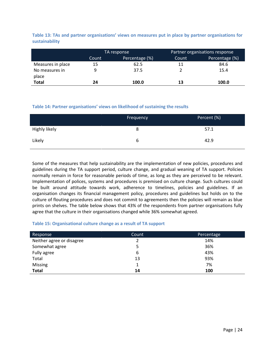<span id="page-35-0"></span>**Table 13: TAs and partner organisations' views on measures put in place by partner organisations for sustainability**

|                   | TA response |                |       | Partner organisations response |
|-------------------|-------------|----------------|-------|--------------------------------|
|                   | Count       | Percentage (%) | Count | Percentage (%)                 |
| Measures in place | 15          | 62.5           | 11    | 84.6                           |
| No measures in    | 9           | 37.5           |       | 15.4                           |
| place             |             |                |       |                                |
| Total             | 24          | 100.0          | 13    | 100.0                          |

## <span id="page-35-1"></span>**Table 14: Partner organisations' views on likelihood of sustaining the results**

|               | Frequency | Percent (%) |
|---------------|-----------|-------------|
| Highly likely | 8         | 57.1        |
| Likely        | b         | 42.9        |

Some of the measures that help sustainability are the implementation of new policies, procedures and guidelines during the TA support period, culture change, and gradual weaning of TA support. Policies normally remain in force for reasonable periods of time, as long as they are perceived to be relevant. Implementation of polices, systems and procedures is premised on culture change. Such cultures could be built around attitude towards work, adherence to timelines, policies and guidelines. If an organisation changes its financial management policy, procedures and guidelines but holds on to the culture of flouting procedures and does not commit to agreements then the policies will remain as blue prints on shelves. The table below shows that 43% of the respondents from partner organisations fully agree that the culture in their organisations changed while 36% somewhat agreed.

#### <span id="page-35-2"></span>**Table 15: Organisational culture change as a result of TA support**

| Response                  | Count | Percentage |
|---------------------------|-------|------------|
| Neither agree or disagree |       | 14%        |
| Somewhat agree            |       | 36%        |
| Fully agree               | 6     | 43%        |
| Total                     | 13    | 93%        |
| <b>Missing</b>            |       | 7%         |
| <b>Total</b>              | 14    | 100        |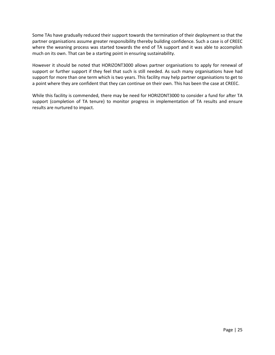Some TAs have gradually reduced their support towards the termination of their deployment so that the partner organisations assume greater responsibility thereby building confidence. Such a case is of CREEC where the weaning process was started towards the end of TA support and it was able to accomplish much on its own. That can be a starting point in ensuring sustainability.

However it should be noted that HORIZONT3000 allows partner organisations to apply for renewal of support or further support if they feel that such is still needed. As such many organisations have had support for more than one term which is two years. This facility may help partner organisations to get to a point where they are confident that they can continue on their own. This has been the case at CREEC.

While this facility is commended, there may be need for HORIZONT3000 to consider a fund for after TA support (completion of TA tenure) to monitor progress in implementation of TA results and ensure results are nurtured to impact.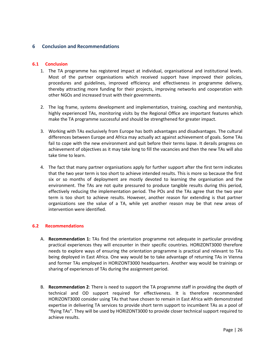## <span id="page-37-0"></span>**6 Conclusion and Recommendations**

#### <span id="page-37-1"></span>**6.1 Conclusion**

- 1. The TA programme has registered impact at individual, organisational and institutional levels. Most of the partner organisations which received support have improved their policies, procedures and guidelines, improved efficiency and effectiveness in programme delivery, thereby attracting more funding for their projects, improving networks and cooperation with other NGOs and increased trust with their governments.
- 2. The log frame, systems development and implementation, training, coaching and mentorship, highly experienced TAs, monitoring visits by the Regional Office are important features which make the TA programme successful and should be strengthened for greater impact.
- 3. Working with TAs exclusively from Europe has both advantages and disadvantages. The cultural differences between Europe and Africa may actually act against achievement of goals. Some TAs fail to cope with the new environment and quit before their terms lapse. It derails progress on achievement of objectives as it may take long to fill the vacancies and then the new TAs will also take time to learn.
- 4. The fact that many partner organisations apply for further support after the first term indicates that the two year term is too short to achieve intended results. This is more so because the first six or so months of deployment are mostly devoted to learning the organisation and the environment. The TAs are not quite pressured to produce tangible results during this period, effectively reducing the implementation period. The POs and the TAs agree that the two year term is too short to achieve results. However, another reason for extending is that partner organizations see the value of a TA, while yet another reason may be that new areas of intervention were identified.

## <span id="page-37-2"></span>**6.2 Recommendations**

- A. **Recommendation 1:** TAs find the orientation programme not adequate in particular providing practical experiences they will encounter in their specific countries. HORIZONT3000 therefore needs to explore ways of ensuring the orientation programme is practical and relevant to TAs being deployed in East Africa. One way would be to take advantage of returning TAs in Vienna and former TAs employed in HORIZONT3000 headquarters. Another way would be trainings or sharing of experiences of TAs during the assignment period.
- B. **Recommendation 2**: There is need to support the TA programme staff in providing the depth of technical and OD support required for effectiveness. It is therefore recommended HORIZONT3000 consider using TAs that have chosen to remain in East Africa with demonstrated expertise in delivering TA services to provide short term support to incumbent TAs as a pool of "flying TAs". They will be used by HORIZONT3000 to provide closer technical support required to achieve results.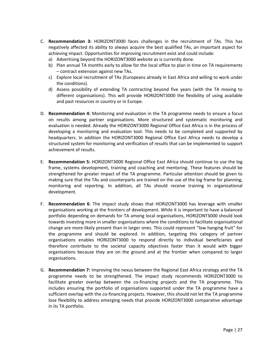- C. **Recommendation 3:** HORIZONT3000 faces challenges in the recruitment of TAs. This has negatively affected its ability to always acquire the best qualified TAs, an important aspect for achieving impact. Opportunities for improving recruitment exist and could include:
	- a) Advertising beyond the HORIZONT3000 website as is currently done.
	- b) Plan annual TA months early to allow for the local office to plan in time on TA requirements – contract extension against new TAs.
	- c) Explore local recruitment of TAs (Europeans already in East Africa and willing to work under the conditions).
	- d) Assess possibility of extending TA contracting beyond five years (with the TA moving to different organisations). This will provide HORIZONT3000 the flexibility of using available and past resources in country or in Europe.
- D. **Recommendation 4:** Monitoring and evaluation in the TA programme needs to ensure a focus on results among partner organisations. More structured and systematic monitoring and evaluation is needed. Already the HORIZONT3000 Regional Office East Africa is in the process of developing a monitoring and evaluation tool. This needs to be completed and supported by headquarters. In addition the HORIZONT3000 Regional Office East Africa needs to develop a structured system for monitoring and verification of results that can be implemented to support achievement of results.
- E. **Recommendation 5:** HORIZONT3000 Regional Office East Africa should continue to use the log frame, systems development, training and coaching and mentoring. These features should be strengthened for greater impact of the TA programme. Particular attention should be given to making sure that the TAs and counterparts are trained on the use of the log frame for planning, monitoring and reporting. In addition, all TAs should receive training in organisational development.
- F. **Recommendation 6**: The impact study shows that HORIZONT3000 has leverage with smaller organisations working at the frontiers of development. While it is important to have a balanced portfolio depending on demands for TA among local organisations, HORIZONT3000 should look towards investing more in smaller organisations where the conditions to facilitate organisational change are more likely present than in larger ones. This could represent "low hanging fruit" for the programme and should be explored. In addition, targeting this category of partner organisations enables HORIZONT3000 to respond directly to individual beneficiaries and therefore contribute to the societal capacity objectives faster than it would with bigger organisations because they are on the ground and at the frontier when compared to larger organisations.
- G. **Recommendation 7:** Improving the nexus between the Regional East Africa strategy and the TA programme needs to be strengthened. The impact study recommends HORIZONT3000 to facilitate greater overlap between the co-financing projects and the TA programme. This includes ensuring the portfolio of organisations supported under the TA programme have a sufficient overlap with the co-financing projects. However, this should not let the TA programme lose flexibility to address emerging needs that provide HORIZONT3000 comparative advantage in its TA portfolio.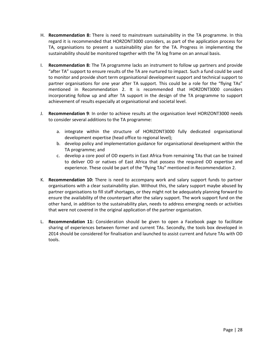- H. **Recommendation 8:** There is need to mainstream sustainability in the TA programme. In this regard it is recommended that HORZONT3000 considers, as part of the application process for TA, organisations to present a sustainability plan for the TA. Progress in implementing the sustainability should be monitored together with the TA log frame on an annual basis.
- I. **Recommendation 8:** The TA programme lacks an instrument to follow up partners and provide "after TA" support to ensure results of the TA are nurtured to impact. Such a fund could be used to monitor and provide short term organisational development support and technical support to partner organisations for one year after TA support. This could be a role for the "flying TAs" mentioned in Recommendation 2. It is recommended that HORZONT3000 considers incorporating follow up and after TA support in the design of the TA programme to support achievement of results especially at organisational and societal level.
- J. **Recommendation 9**: In order to achieve results at the organisation level HORIZONT3000 needs to consider several additions to the TA programme:
	- a. integrate within the structure of HORIZONT3000 fully dedicated organisational development expertise (head office to regional level);
	- b. develop policy and implementation guidance for organisational development within the TA programme; and
	- c. develop a core pool of OD experts in East Africa from remaining TAs that can be trained to deliver OD or natives of East Africa that possess the required OD expertise and experience. These could be part of the "flying TAs" mentioned in Recommendation 2.
- K. **Recommendation 10:** There is need to accompany work and salary support funds to partner organisations with a clear sustainability plan. Without this, the salary support maybe abused by partner organisations to fill staff shortages, or they might not be adequately planning forward to ensure the availability of the counterpart after the salary support. The work support fund on the other hand, in addition to the sustainability plan, needs to address emerging needs or activities that were not covered in the original application of the partner organisation.
- L. **Recommendation 11:** Consideration should be given to open a Facebook page to facilitate sharing of experiences between former and current TAs. Secondly, the tools box developed in 2014 should be considered for finalisation and launched to assist current and future TAs with OD tools.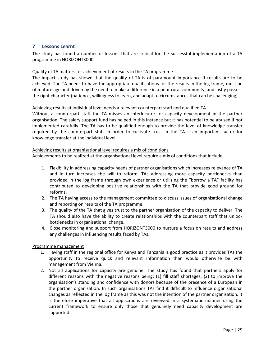## <span id="page-40-0"></span>**7 Lessons Learnt**

The study has found a number of lessons that are critical for the successful implementation of a TA programme in HORIZONT3000.

#### Quality of TA matters for achievement of results in the TA programme

The impact study has shown that the quality of TA is of paramount importance if results are to be achieved. The TA needs to have the appropriate qualifications for the results in the log frame, must be of mature age and driven by the need to make a difference in a poor rural community, and lastly possess the right character (patience, willingness to learn, and adapt to circumstances that can be challenging).

#### Achieving results at individual level needs a relevant counterpart staff and qualified TA

Without a counterpart staff the TA misses an interlocutor for capacity development in the partner organisation. The salary support fund has helped in this instance but it has potential to be abused if not implemented carefully. The TA has to be qualified enough to provide the level of knowledge transfer required by the counterpart staff in order to cultivate trust in the TA – an important factor for knowledge transfer at the individual level.

#### Achieving results at organisational level requires a mix of conditions

Achievements to be realized at the organisational level require a mix of conditions that include:

- 1. Flexibility in addressing capacity needs of partner organisations which increases relevance of TA and in turn increases the will to reform. TAs addressing more capacity bottlenecks than provided in the log frame through own experience or utilizing the "borrow a TA" facility has contributed to developing positive relationships with the TA that provide good ground for reforms.
- 2. The TA having access to the management committee to discuss issues of organisational change and reporting on results of the TA programme.
- 3. The quality of the TA that gives trust to the partner organisation of the capacity to deliver. The TA should also have the ability to create relationships with the counterpart staff that unlock bottlenecks in organisational change.
- 4. Close monitoring and support from HORIZONT3000 to nurture a focus on results and address any challenges in influencing results faced by TAs.

## Programme management

- 1. Having staff in the regional office for Kenya and Tanzania is good practice as it provides TAs the opportunity to receive quick and relevant information than would otherwise be with management from Vienna.
- 2. Not all applications for capacity are genuine. The study has found that partners apply for different reasons with the negative reasons being: (1) fill staff shortages; (2) to improve the organisation's standing and confidence with donors because of the presence of a European in the partner organisation. In such organisations TAs find it difficult to influence organisational changes as reflected in the log frame as this was not the intention of the partner organisation. It is therefore imperative that all applications are reviewed in a systematic manner using the current framework to ensure only those that genuinely need capacity development are supported.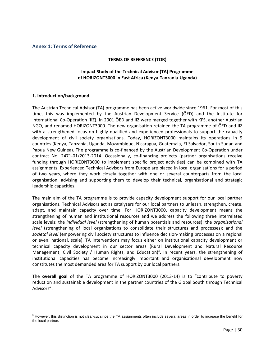#### <span id="page-41-0"></span>**Annex 1: Terms of Reference**

#### **TERMS OF REFERENCE (TOR)**

## **Impact Study of the Technical Advisor (TA) Programme of HORIZONT3000 in East Africa (Kenya-Tanzania-Uganda)**

#### **1. Introduction/background**

The Austrian Technical Advisor (TA) programme has been active worldwide since 1961. For most of this time, this was implemented by the Austrian Development Service (ÖED) and the Institute for International Co-Operation (IIZ). In 2001 ÖED and IIZ were merged together with KFS, another Austrian NGO, and renamed HORIZONT3000. The new organisation retained the TA programme of ÖED and IIZ with a strengthened focus on highly qualified and experienced professionals to support the capacity development of civil society organisations. Today, HORIZONT3000 maintains its operations in 9 countries (Kenya, Tanzania, Uganda, Mozambique, Nicaragua, Guatemala, El Salvador, South Sudan and Papua New Guinea). The programme is co-financed by the Austrian Development Co-Operation under contract No. 2471-01/2013-2014. Occasionally, co-financing projects (partner organisations receive funding through HORIZONT3000 to implement specific project activities) can be combined with TA assignments. Experienced Technical Advisors from Europe are placed in local organisations for a period of two years, where they work closely together with one or several counterparts from the local organisation, advising and supporting them to develop their technical, organisational and strategic leadership capacities.

The main aim of the TA programme is to provide capacity development support for our local partner organisations. Technical Advisors act as catalysers for our local partners to unleash, strengthen, create, adapt, and maintain capacity over time. For HORIZONT3000, capacity development means the strengthening of human and institutional resources and we address the following three interrelated scale levels: the *individual level* (strengthening of human potentials and resources); the *organisational level* (strengthening of local organisations to consolidate their structures and processes); and the *societal level* (empowering civil society structures to influence decision-making processes on a regional or even, national, scale). TA interventions may focus either on institutional capacity development or technical capacity development in our sector areas (Rural Development and Natural Resource Management, Civil Society / Human Rights, and Education)<sup>3</sup>. In recent years, the strengthening of institutional capacities has become increasingly important and organisational development now constitutes the most demanded area for TA support by our local partners.

The **overall goal** of the TA programme of HORIZONT3000 (2013-14) is to "contribute to poverty reduction and sustainable development in the partner countries of the Global South through Technical Advisors".

l  $3$  However, this distinction is not clear-cut since the TA assignments often include several areas in order to increase the benefit for the local partner.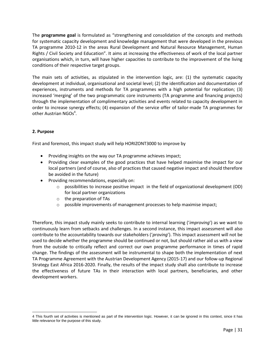The **programme goal** is formulated as "strengthening and consolidation of the concepts and methods for systematic capacity development and knowledge management that were developed in the previous TA programme 2010-12 in the areas Rural Development and Natural Resource Management, Human Rights / Civil Society and Education". It aims at increasing the effectiveness of work of the local partner organisations which, in turn, will have higher capacities to contribute to the improvement of the living conditions of their respective target groups.

The main sets of activities, as stipulated in the intervention logic, are: (1) the systematic capacity development at individual, organisational and societal level; (2) the identification and documentation of experiences, instruments and methods for TA programmes with a high potential for replication; (3) increased 'merging' of the two programmatic core instruments (TA programme and financing projects) through the implementation of complimentary activities and events related to capacity development in order to increase synergy effects; (4) expansion of the service offer of tailor-made TA programmes for other Austrian NGOs<sup>4</sup>.

## **2. Purpose**

First and foremost, this impact study will help HORIZONT3000 to improve by

- Providing insights on the way our TA programme achieves impact;
- Providing clear examples of the good practices that have helped maximise the impact for our local partners (and of course, also of practices that caused negative impact and should therefore be avoided in the future)
- Providing recommendations, especially on:
	- $\circ$  possibilities to increase positive impact in the field of organizational development (OD) for local partner organizations
	- o the preparation of TAs
	- $\circ$  possible improvements of management processes to help maximise impact;

Therefore, this impact study mainly seeks to contribute to internal learning ('*improving*') as we want to continuously learn from setbacks and challenges. In a second instance, this impact assessment will also contribute to the accountability towards our stakeholders ('*proving*'). This impact assessment will not be used to decide whether the programme should be continued or not, but should rather aid us with a view from the outside to critically reflect and correct our own programme performance in times of rapid change. The findings of the assessment will be instrumental to shape both the implementation of next TA Programme Agreement with the Austrian Development Agency (2015-17) and our follow-up Regional Strategy East Africa 2016-2020. Finally, the results of the impact study shall also contribute to increase the effectiveness of future TAs in their interaction with local partners, beneficiaries, and other development workers.

l 4 This fourth set of activities is mentioned as part of the intervention logic. However, it can be ignored in this context, since it has little relevance for the purpose of this study.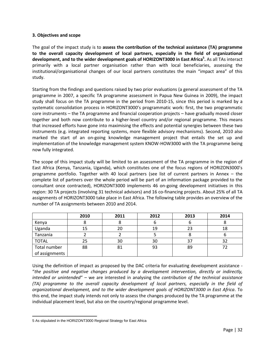#### **3. Objectives and scope**

The goal of the impact study is to **assess the contribution of the technical assistance (TA) programme to the overall capacity development of local partners, especially in the field of organizational development, and to the wider development goals of HORIZONT3000 in East Africa 5 .** As all TAs interact primarily with a local partner organisation rather than with local beneficiaries, assessing the institutional/organisational changes of our local partners constitutes the main "impact area" of this study.

Starting from the findings and questions raised by two prior evaluations (a general assessment of the TA programme in 2007, a specific TA programme assessment in Papua New Guinea in 2009), the impact study shall focus on the TA programme in the period from 2010-15, since this period is marked by a systematic consolidation process in HORIZONT3000's programmatic work: first, the two programmatic core instruments – the TA programme and financial cooperation projects – have gradually moved closer together and both now contribute to a higher-level country and/or regional programme. This means that increased efforts have gone into maximising the effects and potential synergies between these two instruments (e.g. integrated reporting systems, more flexible advisory mechanisms). Second, 2010 also marked the start of an on-going knowledge management project that entails the set up and implementation of the knowledge management system KNOW-HOW3000 with the TA programme being now fully integrated.

The scope of this impact study will be limited to an assessment of the TA programme in the region of East Africa (Kenya, Tanzania, Uganda), which constitutes one of the focus regions of HORIZON3000's programme portfolio. Together with 40 local partners (see list of current partners in Annex – the complete list of partners over the whole period will be part of an information package provided to the consultant once contracted), HORIZONT3000 implements 46 on-going development initiatives in this region: 30 TA projects (involving 31 technical advisors) and 16 co-financing projects. About 25% of all TA assignments of HORIZONT3000 take place in East Africa. The following table provides an overview of the number of TA assignments between 2010 and 2014.

|                | 2010 | 2011 | 2012 | 2013 | 2014 |
|----------------|------|------|------|------|------|
| Kenya          |      |      |      |      |      |
| Uganda         | 15   | 20   | 19   | 23   | 18   |
| Tanzania       |      |      |      | O    | υ    |
| <b>TOTAL</b>   | 25   | 30   | 30   | 37   | 32   |
| Total number   | 88   | 81   | 93   | 89   | 72   |
| of assignments |      |      |      |      |      |

Using the definition of impact as proposed by the DAC criteria for evaluating development assistance - "*the positive and negative changes produced by a development intervention, directly or indirectly, intended or unintended*" – we are interested in analysing the *contribution of the technical assistance (TA) programme to the overall capacity development of local partners, especially in the field of organizational development, and to the wider development goals of HORIZONT3000 in East Africa*. To this end, the impact study intends not only to assess the changes produced by the TA programme at the individual placement level, but also on the country/regional programme level.

 $\overline{\phantom{a}}$ 5 As stipulated in the HORIZONT3000 Regional Strategy for East Africa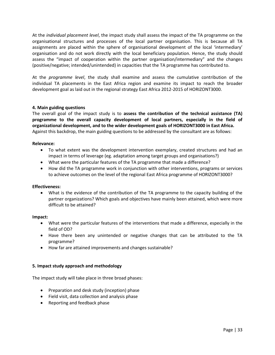At the *individual placement level*, the impact study shall assess the impact of the TA programme on the organisational structures and processes of the local partner organisation. This is because all TA assignments are placed within the sphere of organisational development of the local 'intermediary' organisation and do not work directly with the local beneficiary population. Hence, the study should assess the "impact of cooperation within the partner organisation/intermediary" and the changes (positive/negative; intended/unintended) in capacities that the TA programme has contributed to.

At the *programme level*, the study shall examine and assess the cumulative contribution of the individual TA placements in the East Africa region and examine its impact to reach the broader development goal as laid out in the regional strategy East Africa 2012-2015 of HORIZONT3000.

## **4. Main guiding questions**

The overall goal of the impact study is to **assess the contribution of the technical assistance (TA) programme to the overall capacity development of local partners, especially in the field of organizational development, and to the wider development goals of HORIZONT3000 in East Africa.**  Against this backdrop, the main guiding questions to be addressed by the consultant are as follows:

#### **Relevance:**

- To what extent was the development intervention exemplary, created structures and had an impact in terms of leverage (eg. adaptation among target groups and organisations?)
- What were the particular features of the TA programme that made a difference?
- How did the TA programme work in conjunction with other interventions, programs or services to achieve outcomes on the level of the regional East Africa programme of HORIZONT3000?

#### **Effectiveness:**

 What is the evidence of the contribution of the TA programme to the capacity building of the partner organizations? Which goals and objectives have mainly been attained, which were more difficult to be attained?

#### **Impact:**

- What were the particular features of the interventions that made a difference, especially in the field of OD?
- Have there been any unintended or negative changes that can be attributed to the TA programme?
- How far are attained improvements and changes sustainable?

#### **5. Impact study approach and methodology**

The impact study will take place in three broad phases:

- Preparation and desk study (inception) phase
- Field visit, data collection and analysis phase
- Reporting and feedback phase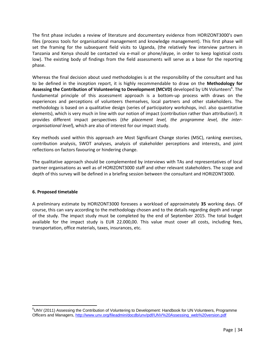The first phase includes a review of literature and documentary evidence from HORIZONT3000's own files (process tools for organisational management and knowledge management). This first phase will set the framing for the subsequent field visits to Uganda, (the relatively few interview partners in Tanzania and Kenya should be contacted via e-mail or phone/skype, in order to keep logistical costs low). The existing body of findings from the field assessments will serve as a base for the reporting phase.

Whereas the final decision about used methodologies is at the responsibility of the consultant and has to be defined in the inception report, it is highly recommendable to draw on the **Methodology for**  Assessing the Contribution of Volunteering to Development (MCVD) developed by UN Volunteers<sup>6</sup>. The fundamental principle of this assessment approach is a bottom-up process with draws on the experiences and perceptions of volunteers themselves, local partners and other stakeholders. The methodology is based on a qualitative design (series of participatory workshops, incl. also quantitative elements), which is very much in line with our notion of impact (contribution rather than attribution!). It provides different impact perspectives (*the placement level, the programme level, the interorganisational level*), which are also of interest for our impact study.

Key methods used within this approach are Most Significant Change stories (MSC), ranking exercises, contribution analysis, SWOT analyses, analysis of stakeholder perceptions and interests, and joint reflections on factors favouring or hindering change.

The qualitative approach should be complemented by interviews with TAs and representatives of local partner organisations as well as of HORIZONT3000 staff and other relevant stakeholders. The scope and depth of this survey will be defined in a briefing session between the consultant and HORIZONT3000.

## **6. Proposed timetable**

A preliminary estimate by HORIZONT3000 foresees a workload of approximately **35** working days. Of course, this can vary according to the methodology chosen and to the details regarding depth and range of the study. The impact study must be completed by the end of September 2015. The total budget available for the impact study is EUR 22.000,00. This value must cover all costs, including fees, transportation, office materials, taxes, insurances, etc.

 $\overline{\phantom{a}}$ <sup>6</sup>UNV (2011) Assessing the Contribution of Voluntering to Development: Handbook for UN Volunteers, Programme Officers and Managers, [http://www.unv.org/fileadmin/docdb/unv/pdf/UNV%20Assessing\\_web%20version.pdf](http://www.unv.org/fileadmin/docdb/unv/pdf/UNV%20Assessing_web%20version.pdf)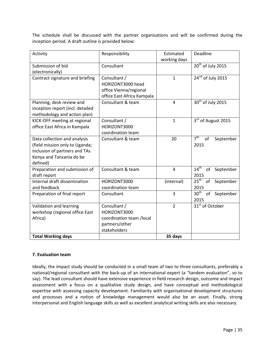The schedule shall be discussed with the partner organisations and will be confirmed during the inception period. A draft outline is provided below:

| Activity                                                                                                                                | Responsibility                                                                             | Estimated<br>working days | Deadline                                    |
|-----------------------------------------------------------------------------------------------------------------------------------------|--------------------------------------------------------------------------------------------|---------------------------|---------------------------------------------|
| Submission of bid<br>(electronically)                                                                                                   | Consultant                                                                                 |                           | 20 <sup>th</sup> of July 2015               |
| Contract signature and briefing                                                                                                         | Consultant /<br>HORIZONT3000 head<br>office Vienna/regional<br>office East Africa Kampala  | $\mathbf{1}$              | 24 <sup>nd</sup> of July 2015               |
| Planning, desk review and<br>inception report (incl. detailed<br>methodology and action plan)                                           | Consultant & team                                                                          | $\overline{4}$            | 30 <sup>th</sup> of July 2015               |
| KICK-OFF meeting at regional<br>office East Africa in Kampala                                                                           | Consultant /<br>HORIZONT3000<br>coordination team                                          | $\mathbf{1}$              | 3rd of August 2015                          |
| Data collection and analysis<br>(field mission only to Uganda;<br>inclusion of partners and TAs<br>Kenya and Tanzania do be<br>defined) | Consultant & team                                                                          | 20                        | 7 <sup>th</sup><br>of<br>September<br>2015  |
| Preparation and submission of<br>draft report                                                                                           | Consultant & team                                                                          | $\overline{4}$            | 14 <sup>th</sup><br>of<br>September<br>2015 |
| Internal draft dissemination<br>and feedback                                                                                            | HORIZONT3000<br>coordination team                                                          | (internal)                | 25 <sup>th</sup><br>of<br>September<br>2015 |
| Preparation of final report                                                                                                             | Consultant                                                                                 | 3                         | 30 <sup>th</sup><br>of<br>September<br>2015 |
| Validation and learning<br>workshop (regional office East<br>Africa)                                                                    | Consultant /<br>HORIZONT3000<br>coordination team /local<br>partners/other<br>stakeholders | $\overline{2}$            | $31st$ of October                           |
| <b>Total Working days</b>                                                                                                               |                                                                                            | 35 days                   |                                             |

## **7. Evaluation team**

Ideally, the impact study should be conducted in a small team of two to three consultants, preferably a national/regional consultant with the back-up of an international expert (a "tandem evaluation", so to say). The lead consultant should have extensive experience in field research design, outcome and impact assessment with a focus on a qualitative study design, and have conceptual and methodological expertise with assessing capacity development. Familiarity with organisational development structures and processes and a notion of knowledge management would also be an asset. Finally, strong interpersonal and English language skills as well as excellent analytical writing skills are also necessary.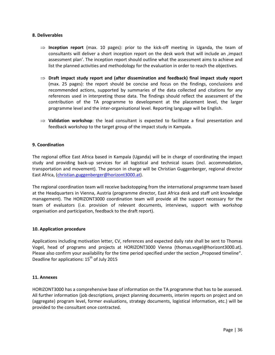#### **8. Deliverables**

- $\Rightarrow$  **Inception report** (max. 10 pages): prior to the kick-off meeting in Uganda, the team of consultants will deliver a short inception report on the desk work that will include an , impact assessment plan'. The inception report should outline what the assessment aims to achieve and list the planned activities and methodology for the evaluation in order to reach the objectives.
- **Draft impact study report and (after dissemination and feedback) final impact study report** (max. 25 pages): the report should be concise and focus on the findings, conclusions and recommended actions, supported by summaries of the data collected and citations for any references used in interpreting those data. The findings should reflect the assessment of the contribution of the TA programme to development at the placement level, the larger programme level and the inter-organisational level. Reporting language will be English.
- $\Rightarrow$  Validation workshop: the lead consultant is expected to facilitate a final presentation and feedback workshop to the target group of the impact study in Kampala.

#### **9. Coordination**

The regional office East Africa based in Kampala (Uganda) will be in charge of coordinating the impact study and providing back-up services for all logistical and technical issues (incl. accommodation, transportation and movement). The person in charge will be Christian Guggenberger, regional director East Africa, [\(christian.guggenberger@horizont3000.at\)](mailto:Christian.guggenberger@horizont3000.at).

The regional coordination team will receive backstopping from the international programme team based at the Headquarters in Vienna, Austria (programme director, East Africa desk and staff unit knowledge management). The HORIZONT3000 coordination team will provide all the support necessary for the team of evaluators (i.e. provision of relevant documents, interviews, support with workshop organisation and participation, feedback to the draft report).

#### **10. Application procedure**

Applications including motivation letter, CV, references and expected daily rate shall be sent to Thomas Vogel, head of programs and projects at HORIZONT3000 Vienna (thomas.vogel@horizont3000.at). Please also confirm your availability for the time period specified under the section "Proposed timeline". Deadline for applications:  $15<sup>th</sup>$  of July 2015

## **11. Annexes**

HORIZONT3000 has a comprehensive base of information on the TA programme that has to be assessed. All further information (job descriptions, project planning documents, interim reports on project and on (aggregate) program level, former evaluations, strategy documents, logistical information, etc.) will be provided to the consultant once contracted.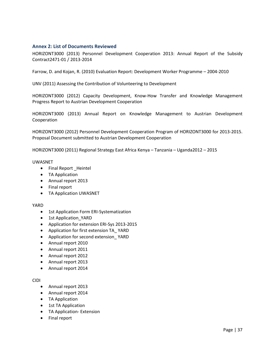## <span id="page-48-0"></span>**Annex 2: List of Documents Reviewed**

HORIZONT3000 (2013) Personnel Development Cooperation 2013: Annual Report of the Subsidy Contract2471-01 / 2013-2014

Farrow, D. and Kojan, R. (2010) Evaluation Report: Development Worker Programme – 2004-2010

UNV (2011) Assessing the Contribution of Volunteering to Development

HORIZONT3000 (2012) Capacity Development, Know-How Transfer and Knowledge Management Progress Report to Austrian Development Cooperation

HORIZONT3000 (2013) Annual Report on Knowledge Management to Austrian Development Cooperation

HORIZONT3000 (2012) Personnel Development Cooperation Program of HORIZONT3000 for 2013-2015. Proposal Document submitted to Austrian Development Cooperation

HORIZONT3000 (2011) Regional Strategy East Africa Kenya – Tanzania – Uganda2012 – 2015

#### UWASNET

- Final Report \_Heintel
- TA Application
- Annual report 2013
- Final report
- TA Application UWASNET

#### YARD

- 1st Application Form ERI-Systematization
- 1st Application YARD
- Application for extension ERI-Sys 2013-2015
- Application for first extension TA\_ YARD
- Application for second extension\_ YARD
- Annual report 2010
- Annual report 2011
- Annual report 2012
- Annual report 2013
- Annual report 2014

#### CIDI

- Annual report 2013
- Annual report 2014
- TA Application
- 1st TA Application
- TA Application- Extension
- Final report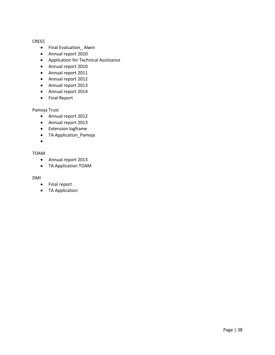#### CREEC

- Final Evaluation\_ Alwin
- Annual report 2010
- Application for Technical Assistance
- Annual report 2010
- Annual report 2011
- Annual report 2012
- Annual report 2013
- Annual report 2014
- Final Report

## Pamoja Trust

- Annual report 2012
- Annual report 2013
- **•** Extension logframe
- TA Application\_Pamoja
- $\bullet$

## TOAM

- Annual report 2013
- TA Application TOAM

#### DMI

- Final report
- TA Application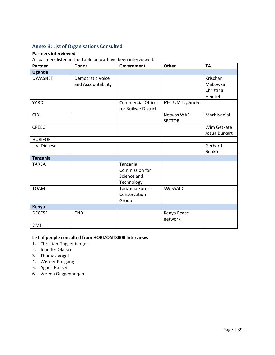## <span id="page-50-0"></span>**Annex 3: List of Organisations Consulted**

#### **Partners interviewed**

All partners listed in the Table below have been interviewed.

| <b>Partner</b>  | <b>Donor</b>            | Government                | <b>Other</b>       | <b>TA</b>     |
|-----------------|-------------------------|---------------------------|--------------------|---------------|
| <b>Uganda</b>   |                         |                           |                    |               |
| <b>UWASNET</b>  | <b>Democratic Voice</b> |                           |                    | Krischan      |
|                 | and Accountability      |                           |                    | Makowka       |
|                 |                         |                           |                    | Christina     |
|                 |                         |                           |                    | Heintel       |
| <b>YARD</b>     |                         | <b>Commercial Officer</b> | PELUM Uganda       |               |
|                 |                         | for Buikwe District,      |                    |               |
| <b>CIDI</b>     |                         |                           | <b>Netwas WASH</b> | Mark Nadjafi  |
|                 |                         |                           | <b>SECTOR</b>      |               |
| <b>CREEC</b>    |                         |                           |                    | Wim Getkate   |
|                 |                         |                           |                    | Josua Burkart |
| <b>HURIFOR</b>  |                         |                           |                    |               |
| Lira Diocese    |                         |                           |                    | Gerhard       |
|                 |                         |                           |                    | Benkö         |
| <b>Tanzania</b> |                         |                           |                    |               |
| <b>TAREA</b>    |                         | Tanzania                  |                    |               |
|                 |                         | Commission for            |                    |               |
|                 |                         | Science and               |                    |               |
|                 |                         | Technology                |                    |               |
| <b>TOAM</b>     |                         | Tanzania Forest           | SWISSAID           |               |
|                 |                         | Conservation              |                    |               |
|                 |                         | Group                     |                    |               |
| Kenya           |                         |                           |                    |               |
| <b>DECESE</b>   | <b>CNDI</b>             |                           | Kenya Peace        |               |
|                 |                         |                           | network            |               |
| <b>DMI</b>      |                         |                           |                    |               |

# **List of people consulted from HORIZONT3000 Interviews**

- 1. Christian Guggenberger
- 2. Jennifer Okusia
- 3. Thomas Vogel
- 4. Werner Freigang
- 5. Agnes Hauser
- 6. Verena Guggenberger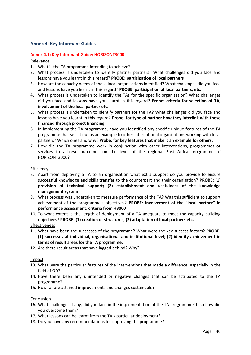## <span id="page-51-1"></span><span id="page-51-0"></span>**Annex 4: Key Informant Guides**

## **Annex 4.1: Key Informant Guide: HORIZONT3000**

Relevance

- 1. What is the TA programme intending to achieve?
- 2. What process is undertaken to identify partner partners? What challenges did you face and lessons have you learnt in this regard? **PROBE: participation of local partners**
- 3. How are the capacity needs of these local organisations identified? What challenges did you face and lessons have you learnt in this regard? **PROBE: participation of local partners, etc.**
- **4.** What process is undertaken to identify the TAs for the specific organisation? What challenges did you face and lessons have you learnt in this regard? **Probe: criteria for selection of TA, involvement of the local partner etc.**
- 5. What process is undertaken to identify partners for the TA? What challenges did you face and lessons have you learnt in this regard? **Probe: for type of partner how they interlink with those financed through project financing**
- 6. In implementing the TA programme, have you identified any specific unique features of the TA programme that sets it out as an example to other international organisations working with local partners? Which ones and why? **Probe: for key features that make it an example for others.**
- 7. How did the TA programme work in conjunction with other interventions, programmes or services to achieve outcomes on the level of the regional East Africa programme of HORIZONT3000?

#### Efficiency

- 8. Apart from deploying a TA to an organisation what extra support do you provide to ensure successful knowledge and skills transfer to the counterpart and their organisation? **PROBE: (1) provision of technical support; (2) establishment and usefulness of the knowledge management system**
- 9. What process was undertaken to measure performance of the TA? Was this sufficient to support achievement of the programme's objectives? **PROBE: Involvement of the "local partner" in performance assessment, criteria from H3000**
- 10. To what extent is the length of deployment of a TA adequate to meet the capacity building objectives? **PROBE: (1) creation of structures; (2) adaptation of local partners etc.**

#### Effectiveness

- 11. What have been the successes of the programme? What were the key success factors? **PROBE: (1) successes at individual, organisational and institutional level; (2) identify achievement in terms of result areas for the TA programme.**
- 12. Are there result areas that have lagged behind? Why?

Impact

- 13. What were the particular features of the interventions that made a difference, especially in the field of OD?
- 14. Have there been any unintended or negative changes that can be attributed to the TA programme?
- 15. How far are attained improvements and changes sustainable?

- 16. What challenges if any, did you face in the implementation of the TA programme? If so how did you overcome them?
- 17. What lessons can be learnt from the TA's particular deployment?
- 18. Do you have any recommendations for improving the programme?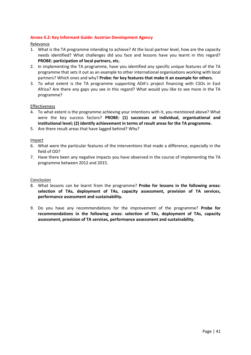## <span id="page-52-0"></span>**Annex 4.2: Key Informant Guide: Austrian Development Agency**

Relevance

- 1. What is the TA programme intending to achieve? At the local partner level, how are the capacity needs identified? What challenges did you face and lessons have you learnt in this regard? **PROBE: participation of local partners, etc.**
- 2. In implementing the TA programme, have you identified any specific unique features of the TA programme that sets it out as an example to other international organisations working with local partners? Which ones and why? **Probe: for key features that make it an example for others.**
- 3. To what extent is the TA programme supporting ADA's project financing with CSOs in East Africa? Are there any gaps you see in this regard? What would you like to see more in the TA programme?

#### Effectiveness

- 4. To what extent is the programme achieving your intentions with it, you mentioned above? What were the key success factors? **PROBE: (1) successes at individual, organisational and institutional level; (2) identify achievement in terms of result areas for the TA programme.**
- 5. Are there result areas that have lagged behind? Why?

Impact

- 6. What were the particular features of the interventions that made a difference, especially in the field of OD?
- 7. Have there been any negative impacts you have observed in the course of implementing the TA programme between 2012 and 2015.

- 8. What lessons can be learnt from the programme? **Probe for lessons in the following areas: selection of TAs, deployment of TAs, capacity assessment, provision of TA services, performance assessment and sustainability.**
- 9. Do you have any recommendations for the improvement of the programme? **Probe for recommendations in the following areas: selection of TAs, deployment of TAs, capacity assessment, provision of TA services, performance assessment and sustainability.**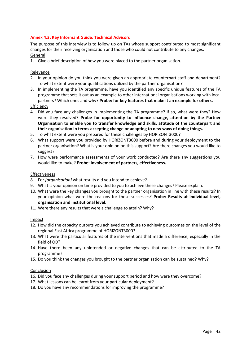## <span id="page-53-0"></span>**Annex 4.3: Key Informant Guide: Technical Advisors**

The purpose of this interview is to follow up on TAs whose support contributed to most significant changes for their receiving organisation and those who could not contribute to any changes. General

1. Give a brief description of how you were placed to the partner organisation.

## Relevance

- 2. In your opinion do you think you were given an appropriate counterpart staff and department? To what extent were your qualifications utilized by the partner organisation?
- 3. In implementing the TA programme, have you identified any specific unique features of the TA programme that sets it out as an example to other international organisations working with local partners? Which ones and why? **Probe: for key features that make it an example for others.** Efficiency
- 
- 4. Did you face any challenges in implementing the TA programme? If so, what were they? How were they resolved? **Probe for opportunity to influence change, attention by the Partner Organisation to enable you to transfer knowledge and skills, attitude of the counterpart and their organisation in terms accepting change or adapting to new ways of doing things.**
- 5. To what extent were you prepared for these challenges by HORIZONT3000?
- 6. What support were you provided by HORIZONT3000 before and during your deployment to the partner organisation? What is your opinion on this support? Are there changes you would like to suggest?
- 7. How were performance assessments of your work conducted? Are there any suggestions you would like to make? **Probe: Involvement of partners, effectiveness.**

#### Effectiveness

- 8. For *[organisation]* what results did you intend to achieve?
- 9. What is your opinion on time provided to you to achieve these changes? Please explain.
- 10. What were the key changes you brought to the partner organisation in line with these results? In your opinion what were the reasons for these successes? **Probe: Results at individual level, organisation and institutional level.**
- 11. Were there any results that were a challenge to attain? Why?

#### Impact

- 12. How did the capacity outputs you achieved contribute to achieving outcomes on the level of the regional East Africa programme of HORIZONT3000?
- 13. What were the particular features of the interventions that made a difference, especially in the field of OD?
- 14. Have there been any unintended or negative changes that can be attributed to the TA programme?
- 15. Do you think the changes you brought to the partner organisation can be sustained? Why?

- 16. Did you face any challenges during your support period and how were they overcome?
- 17. What lessons can be learnt from your particular deployment?
- 18. Do you have any recommendations for improving the programme?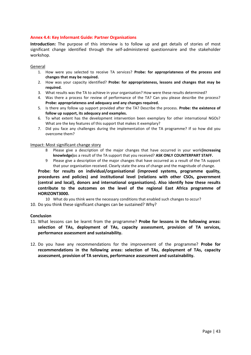## <span id="page-54-0"></span>**Annex 4.4: Key Informant Guide: Partner Organisations**

**Introduction:** The purpose of this interview is to follow up and get details of stories of most significant change identified through the self-administered questionnaire and the stakeholder workshop.

#### General

- 1. How were you selected to receive TA services? **Probe: for appropriateness of the process and changes that may be required.**
- 2. How was your capacity identified? **Probe: for appropriateness, lessons and changes that may be required.**
- 3. What results was the TA to achieve in your organisation? How were these results determined?
- 4. Was there a process for review of performance of the TA? Can you please describe the process? **Probe: appropriateness and adequacy and any changes required.**
- 5. Is there any follow up support provided after the TA? Describe the process. **Probe: the existence of follow up support, its adequacy and examples.**
- 6. To what extent has the development intervention been exemplary for other international NGOs? What are the key features of this support that makes it exemplary?
- 7. Did you face any challenges during the implementation of the TA programme? If so how did you overcome them?

#### Impact: Most significant change story

- 8 Please give a description of the major changes that have occurred in your work**(increasing knowledge)**as a result of the TA support that you received? **ASK ONLY COUNTERPART STAFF.**
- 9 Please give a description of the major changes that have occurred as a result of the TA support that your organisation received. Clearly state the area of change and the magnitude of change.

**Probe: for results on individual/organisational (improved systems, programme quality, procedures and policies) and institutional level (relations with other CSOs, government (central and local), donors and international organisations). Also identify how these results contribute to the outcomes on the level of the regional East Africa programme of HORIZONT3000.**

10 What do you think were the necessary conditions that enabled such changes to occur?

10. Do you think these significant changes can be sustained? Why?

- 11. What lessons can be learnt from the programme? **Probe for lessons in the following areas: selection of TAs, deployment of TAs, capacity assessment, provision of TA services, performance assessment and sustainability.**
- 12. Do you have any recommendations for the improvement of the programme? **Probe for recommendations in the following areas: selection of TAs, deployment of TAs, capacity assessment, provision of TA services, performance assessment and sustainability.**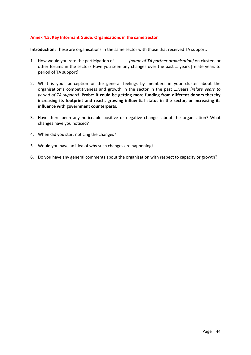## <span id="page-55-0"></span>**Annex 4.5: Key Informant Guide: Organisations in the same Sector**

**Introduction:** These are organisations in the same sector with those that received TA support.

- 1. How would you rate the participation of.............*[name of TA partner organisation]* on clusters or other forums in the sector? Have you seen any changes over the past ….years [relate years to period of TA support]
- 2. What is your perception or the general feelings by members in your cluster about the organisation's competitiveness and growth in the sector in the past ….years *[relate years to period of TA support]*. **Probe: it could be getting more funding from different donors thereby increasing its footprint and reach, growing influential status in the sector, or increasing its influence with government counterparts.**
- 3. Have there been any noticeable positive or negative changes about the organisation? What changes have you noticed?
- 4. When did you start noticing the changes?
- 5. Would you have an idea of why such changes are happening?
- 6. Do you have any general comments about the organisation with respect to capacity or growth?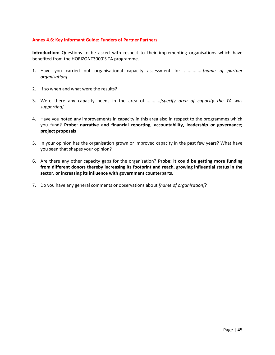#### <span id="page-56-0"></span>**Annex 4.6: Key Informant Guide: Funders of Partner Partners**

**Introduction:** Questions to be asked with respect to their implementing organisations which have benefited from the HORIZONT3000'S TA programme.

- 1. Have you carried out organisational capacity assessment for *...............[name of partner organisation]*
- 2. If so when and what were the results?
- 3. Were there any capacity needs in the area of*.............[specify area of capacity the TA was supporting]*
- 4. Have you noted any improvements in capacity in this area also in respect to the programmes which you fund? **Probe: narrative and financial reporting, accountability, leadership or governance; project proposals**
- 5. In your opinion has the organisation grown or improved capacity in the past few years? What have you seen that shapes your opinion?
- 6. Are there any other capacity gaps for the organisation? **Probe: it could be getting more funding from different donors thereby increasing its footprint and reach, growing influential status in the sector, or increasing its influence with government counterparts.**
- 7. Do you have any general comments or observations about *[name of organisation]*?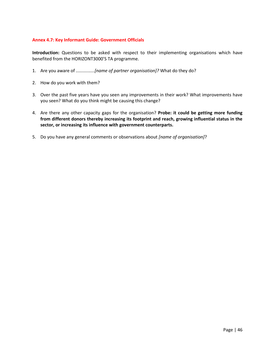## <span id="page-57-0"></span>**Annex 4.7: Key Informant Guide: Government Officials**

**Introduction:** Questions to be asked with respect to their implementing organisations which have benefited from the HORIZONT3000'S TA programme.

- 1. Are you aware of *...............[name of partner organisation]?* What do they do?
- 2. How do you work with them?
- 3. Over the past five years have you seen any improvements in their work? What improvements have you seen? What do you think might be causing this change?
- 4. Are there any other capacity gaps for the organisation? **Probe: it could be getting more funding from different donors thereby increasing its footprint and reach, growing influential status in the sector, or increasing its influence with government counterparts.**
- 5. Do you have any general comments or observations about *[name of organisation]*?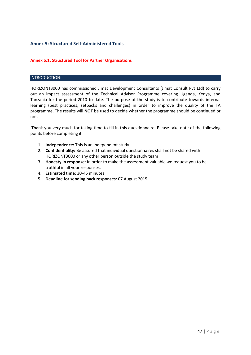# <span id="page-58-1"></span><span id="page-58-0"></span>**Annex 5: Structured Self-Administered Tools**

## **Annex 5.1: Structured Tool for Partner Organisations**

## INTRODUCTION:

HORIZONT3000 has commissioned Jimat Development Consultants (Jimat Consult Pvt Ltd) to carry out an impact assessment of the Technical Advisor Programme covering Uganda, Kenya, and Tanzania for the period 2010 to date. The purpose of the study is to contribute towards internal learning (best practices, setbacks and challenges) in order to improve the quality of the TA programme. The results will **NOT** be used to decide whether the programme should be continued or not.

Thank you very much for taking time to fill in this questionnaire. Please take note of the following points before completing it.

- 1. **Independence:** This is an independent study
- 2. **Confidentiality:** Be assured that individual questionnaires shall not be shared with HORIZONT3000 or any other person outside the study team
- 3. **Honesty in response**: In order to make the assessment valuable we request you to be truthful in all your responses.
- 4. **Estimated time**: 30-45 minutes
- 5. **Deadline for sending back responses**: 07 August 2015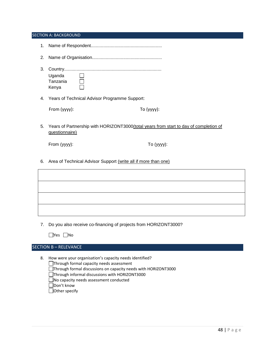#### SECTION A: BACKGROUND

- 1. Name of Respondent.........................................................
- 2. Name of Organisation........................................................
- 3. Country.............................................................................. Uganda  $\Box$ Tanzania  $\Box$ Kenya
- 4. Years of Technical Advisor Programme Support:

| From (yyyy): | To $(yyyy)$ : |
|--------------|---------------|
|--------------|---------------|

5. Years of Partnership with HORIZONT3000(total years from start to day of completion of questionnaire)

From (yyyy): To (yyyy):

6. Area of Technical Advisor Support (write all if more than one)

| <u> 1988 - Ann an Cathrachas Ann an Comhair ann an Comhair ann an Comhair ann an Comhair ann an Comhair ann an C</u> |  |
|----------------------------------------------------------------------------------------------------------------------|--|
|                                                                                                                      |  |
|                                                                                                                      |  |
|                                                                                                                      |  |

7. Do you also receive co-financing of projects from HORIZONT3000?

|  | N.<br>∩ |
|--|---------|
|--|---------|

## SECTION B – RELEVANCE

8. How were your organisation's capacity needs identified?

Through formal capacity needs assessment Through formal discussions on capacity needs with HORIZONT3000 □Through informal discussions with HORIZONT3000

No capacity needs assessment conducted

Don't know

Other specify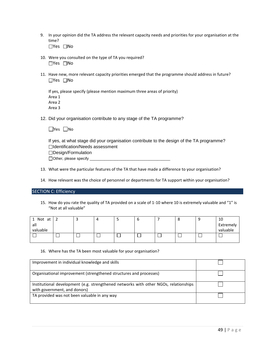9. In your opinion did the TA address the relevant capacity needs and priorities for your organisation at the time?

□Yes □No

- 10. Were you consulted on the type of TA you required? □Yes □No
- 11. Have new, more relevant capacity priorities emerged that the programme should address in future?  $\Box$ Yes  $\Box$ No

| If yes, please specify (please mention maximum three areas of priority) |
|-------------------------------------------------------------------------|
| Area 1                                                                  |
| Area 2                                                                  |
| Area 3                                                                  |

12. Did your organisation contribute to any stage of the TA programme?

|  | N٥ |
|--|----|
|--|----|

If yes, at what stage did your organisation contribute to the design of the TA programme? Identification/Needs assessment □Design/Formulation  $\Box$  Other, please specify  $\Box$ 

- 13. What were the particular features of the TA that have made a difference to your organisation?
- 14. How relevant was the choice of personnel or departments for TA support within your organisation?

#### SECTION C: Efficiency

15. How do you rate the quality of TA provided on a scale of 1-10 where 10 is extremely valuable and "1" is "Not at all valuable"

| Not at<br>- | - |  | O | o | - | 10        |
|-------------|---|--|---|---|---|-----------|
| all         |   |  |   |   |   | Extremely |
| valuable    |   |  |   |   |   | valuable  |
|             |   |  |   |   |   |           |
|             |   |  |   |   |   |           |

16. Where has the TA been most valuable for your organisation?

| Improvement in individual knowledge and skills                                                                       |  |
|----------------------------------------------------------------------------------------------------------------------|--|
| Organisational improvement (strengthened structures and processes)                                                   |  |
| Institutional development (e.g. strengthened networks with other NGOs, relationships<br>with government, and donors) |  |
| TA provided was not been valuable in any way                                                                         |  |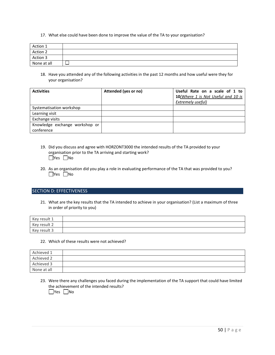17. What else could have been done to improve the value of the TA to your organisation?

| Action 1    |  |
|-------------|--|
| Action 2    |  |
| Action 3    |  |
| None at all |  |

18. Have you attended any of the following activities in the past 12 months and how useful were they for your organisation?

| <b>Activities</b>              | Attended (yes or no) | Useful Rate on a scale of 1 to<br>10(Where 1 is Not Useful and 10 is<br>Extremely useful) |
|--------------------------------|----------------------|-------------------------------------------------------------------------------------------|
| Systematisation workshop       |                      |                                                                                           |
| Learning visit                 |                      |                                                                                           |
| Exchange visits                |                      |                                                                                           |
| Knowledge exchange workshop or |                      |                                                                                           |
| conference                     |                      |                                                                                           |

- 19. Did you discuss and agree with HORZONT3000 the intended results of the TA provided to your organisation prior to the TA arriving and starting work?  $\Box$ Yes  $\Box$ No
- 20. As an organisation did you play a role in evaluating performance of the TA that was provided to you?  $\Box$ Yes  $\Box$ No

#### SECTION D: EFFECTIVENESS

21. What are the key results that the TA intended to achieve in your organisation? (List a maximum of three in order of priority to you)

| Key result 1 |  |
|--------------|--|
| Key result 2 |  |
| Key result 3 |  |

#### 22. Which of these results were not achieved?

| Achieved 1  |  |
|-------------|--|
| Achieved 2  |  |
| Achieved 3  |  |
| None at all |  |

23. Were there any challenges you faced during the implementation of the TA support that could have limited the achievement of the intended results?  $\Box$ Yes  $\Box$ No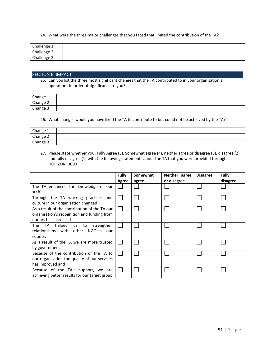24. What were the three major challenges that you faced that limited the contribution of the TA?

| Challenge 1 |  |
|-------------|--|
| Challenge 2 |  |
| Challenge 3 |  |

#### SECTION E: IMPACT

25. Can you list the three most significant changes that the TA contributed to in your organisation's operations in order of significance to you?

| Change 1 |  |
|----------|--|
| Change 2 |  |
| nange 3  |  |

26. What changes would you have liked the TA to contribute to but could not be achieved by the TA?

| Change 1 |  |
|----------|--|
| Change 2 |  |
| Change 3 |  |

27. Please state whether you: Fully Agree (5), Somewhat agree (4), neither agree or disagree (3), disagree (2) and fully disagree (1) with the following statements about the TA that you were provided through HORIZONT3000

|                                                                                                                      | <b>Fully</b> | Somewhat | Neither agree<br>or disagree | <b>Disagree</b> | <b>Fully</b> |
|----------------------------------------------------------------------------------------------------------------------|--------------|----------|------------------------------|-----------------|--------------|
| The TA enhanced the knowledge of our<br>staff                                                                        | Agree        | agree    |                              |                 | disagree     |
| Through the TA working practices and<br>culture in our organisation changed                                          |              |          |                              |                 |              |
| As a result of the contribution of the TA our<br>organisation's recognition and funding from<br>donors has increased |              |          |                              |                 |              |
| The<br>helped<br>strengthen<br>TA<br>us to<br>relationships with other<br>NGOsin<br>our<br>country                   |              |          |                              |                 |              |
| As a result of the TA we are more trusted<br>by government                                                           |              |          |                              |                 |              |
| Because of the contribution of the TA to<br>our organisation the quality of our services<br>has improved and         |              |          |                              |                 |              |
| Because of the TA's support, we are<br>achieving better results for our target group                                 |              |          |                              |                 |              |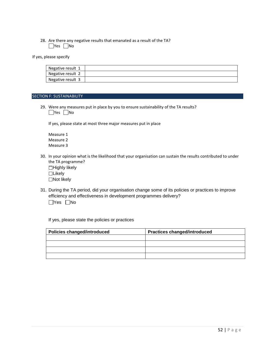#### 28. Are there any negative results that emanated as a result of the TA?  $\Box$ Yes  $\Box$ No

If yes, please specify

| Negative result 1 |  |
|-------------------|--|
| Negative result 2 |  |
| Negative result 3 |  |

#### **SECTION F: SUSTAINABILITY**

29. Were any measures put in place by you to ensure sustainability of the TA results? ■Yes ■No

If yes, please state at most three major measures put in place

Measure 1 Measure 2 Measure 3

30. In your opinion what is the likelihood that your organisation can sustain the results contributed to under the TA programme?

 $\Box$ Highly likely **□Likely** 

□Not likely

31. During the TA period, did your organisation change some of its policies or practices to improve efficiency and effectiveness in development programmes delivery?  $\Box$ Yes  $\Box$ No

If yes, please state the policies or practices

| <b>Policies changed/introduced</b> | <b>Practices changed/introduced</b> |
|------------------------------------|-------------------------------------|
|                                    |                                     |
|                                    |                                     |
|                                    |                                     |
|                                    |                                     |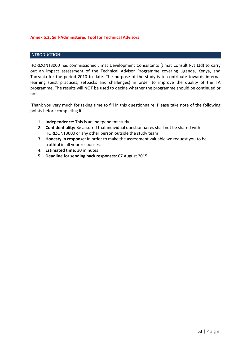## <span id="page-64-0"></span>**Annex 5.2: Self-Administered Tool for Technical Advisors**

## INTRODUCTION:

HORIZONT3000 has commissioned Jimat Development Consultants (Jimat Consult Pvt Ltd) to carry out an impact assessment of the Technical Advisor Programme covering Uganda, Kenya, and Tanzania for the period 2010 to date. The purpose of the study is to contribute towards internal learning (best practices, setbacks and challenges) in order to improve the quality of the TA programme. The results will **NOT** be used to decide whether the programme should be continued or not.

Thank you very much for taking time to fill in this questionnaire. Please take note of the following points before completing it.

- 1. **Independence:** This is an independent study
- 2. **Confidentiality:** Be assured that individual questionnaires shall not be shared with HORIZONT3000 or any other person outside the study team
- 3. **Honesty in response**: In order to make the assessment valuable we request you to be truthful in all your responses.
- 4. **Estimated time**: 30 minutes
- 5. **Deadline for sending back responses**: 07 August 2015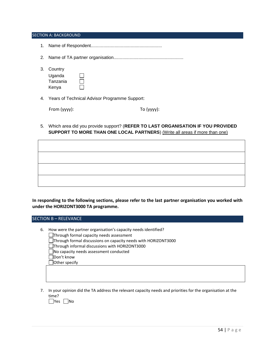#### SECTION A: BACKGROUND

- 1. Name of Respondent.........................................................
- 2. Name of TA partner organisation........................................................
- 3. Country

| Uganda   |  |
|----------|--|
| Tanzania |  |
| Kenya    |  |

4. Years of Technical Advisor Programme Support:

| From (yyyy): |  |
|--------------|--|

To (yyyy):

5. Which area did you provide support? (**REFER TO LAST ORGANISATION IF YOU PROVIDED SUPPORT TO MORE THAN ONE LOCAL PARTNERS**) (Write all areas if more than one)

**In responding to the following sections, please refer to the last partner organisation you worked with under the HORIZONT3000 TA programme.**

SECTION B – RELEVANCE

- 6. How were the partner organisation's capacity needs identified?
	- Through formal capacity needs assessment
	- Through formal discussions on capacity needs with HORIZONT3000
	- Through informal discussions with HORIZONT3000
	- No capacity needs assessment conducted
	- Don't know
	- Other specify
- 7. In your opinion did the TA address the relevant capacity needs and priorities for the organisation at the time?

 $\Box$ Yes  $\Box$ No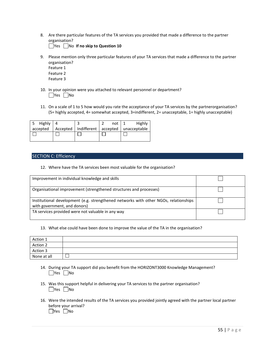8. Are there particular features of the TA services you provided that made a difference to the partner organisation?

**Thes** No If no skip to Question 10

- 9. Please mention only three particular features of your TA services that made a difference to the partner organisation?
	- Feature 1 Feature 2 Feature 3
- 10. In your opinion were you attached to relevant personnel or department?  $\Box$ Yes  $\Box$ No
- 11. On a scale of 1 to 5 how would you rate the acceptance of your TA services by the partnerorganisation? (5= highly accepted, 4= somewhat accepted, 3=indifferent, 2= unacceptable, 1= highly unacceptable)

|  | not $\vert$ 1 | Highly                                                      |
|--|---------------|-------------------------------------------------------------|
|  |               | accepted   Accepted   Indifferent   accepted   unacceptable |
|  |               |                                                             |
|  |               |                                                             |

#### SECTION C: Efficiency

12. Where have the TA services been most valuable for the organisation?

| Improvement in individual knowledge and skills                                                                       |  |
|----------------------------------------------------------------------------------------------------------------------|--|
| Organisational improvement (strengthened structures and processes)                                                   |  |
| Institutional development (e.g. strengthened networks with other NGOs, relationships<br>with government, and donors) |  |
| TA services provided were not valuable in any way                                                                    |  |

#### 13. What else could have been done to improve the value of the TA in the organisation?

| Action 1    |  |
|-------------|--|
| Action 2    |  |
| Action 3    |  |
| None at all |  |

- 14. During your TA support did you benefit from the HORIZONT3000 Knowledge Management?  $\Box$ Yes  $\Box$ No
- 15. Was this support helpful in delivering your TA services to the partner organisation?  $\Box$ Yes  $\Box$ No
- 16. Were the intended results of the TA services you provided jointly agreed with the partner local partner before your arrival?  $\Box$ Yes  $\Box$ No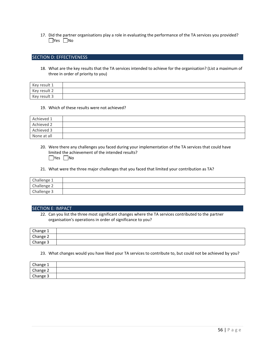17. Did the partner organisations play a role in evaluating the performance of the TA services you provided?  $\Box$ Yes  $\Box$ No

#### SECTION D: EFFECTIVENESS

18. What are the key results that the TA services intended to achieve for the organisation? (List a maximum of three in order of priority to you)

| Key result 1 |  |
|--------------|--|
| Key result 2 |  |
| Key result 3 |  |

#### 19. Which of these results were not achieved?

| Achieved 1  |  |
|-------------|--|
| Achieved 2  |  |
| Achieved 3  |  |
| None at all |  |

- 20. Were there any challenges you faced during your implementation of the TA services that could have limited the achievement of the intended results?  $\Box$ Yes  $\Box$ No
- 21. What were the three major challenges that you faced that limited your contribution as TA?

| Challenge 1 |  |
|-------------|--|
| Challenge 2 |  |
| Challenge 3 |  |

#### SECTION E: IMPACT

22. Can you list the three most significant changes where the TA services contributed to the partner organisation's operations in order of significance to you?

| Change 1 |  |
|----------|--|
| Change 2 |  |
| Change 3 |  |

23. What changes would you have liked your TA services to contribute to, but could not be achieved by you?

| Change 1 |  |
|----------|--|
| Change 2 |  |
| Change 3 |  |